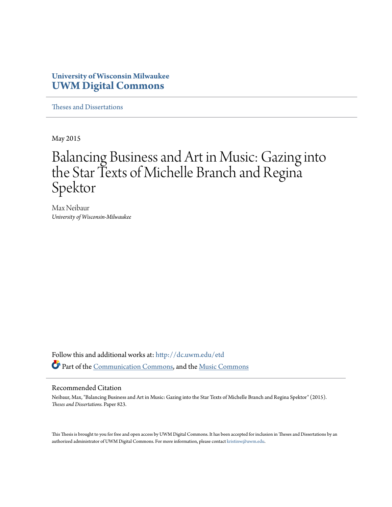## **University of Wisconsin Milwaukee [UWM Digital Commons](http://dc.uwm.edu?utm_source=dc.uwm.edu%2Fetd%2F823&utm_medium=PDF&utm_campaign=PDFCoverPages)**

[Theses and Dissertations](http://dc.uwm.edu/etd?utm_source=dc.uwm.edu%2Fetd%2F823&utm_medium=PDF&utm_campaign=PDFCoverPages)

May 2015

# Balancing Business and Art in Music: Gazing into the Star Texts of Michelle Branch and Regina Spektor

Max Neibaur *University of Wisconsin-Milwaukee*

Follow this and additional works at: [http://dc.uwm.edu/etd](http://dc.uwm.edu/etd?utm_source=dc.uwm.edu%2Fetd%2F823&utm_medium=PDF&utm_campaign=PDFCoverPages) Part of the [Communication Commons](http://network.bepress.com/hgg/discipline/325?utm_source=dc.uwm.edu%2Fetd%2F823&utm_medium=PDF&utm_campaign=PDFCoverPages), and the [Music Commons](http://network.bepress.com/hgg/discipline/518?utm_source=dc.uwm.edu%2Fetd%2F823&utm_medium=PDF&utm_campaign=PDFCoverPages)

#### Recommended Citation

Neibaur, Max, "Balancing Business and Art in Music: Gazing into the Star Texts of Michelle Branch and Regina Spektor" (2015). *Theses and Dissertations.* Paper 823.

This Thesis is brought to you for free and open access by UWM Digital Commons. It has been accepted for inclusion in Theses and Dissertations by an authorized administrator of UWM Digital Commons. For more information, please contact [kristinw@uwm.edu](mailto:kristinw@uwm.edu).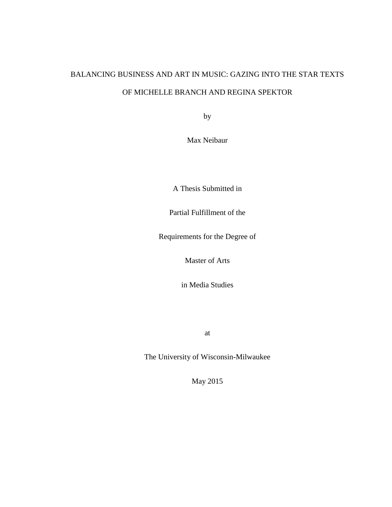## BALANCING BUSINESS AND ART IN MUSIC: GAZING INTO THE STAR TEXTS OF MICHELLE BRANCH AND REGINA SPEKTOR

by

Max Neibaur

A Thesis Submitted in

Partial Fulfillment of the

Requirements for the Degree of

Master of Arts

in Media Studies

at

The University of Wisconsin-Milwaukee

May 2015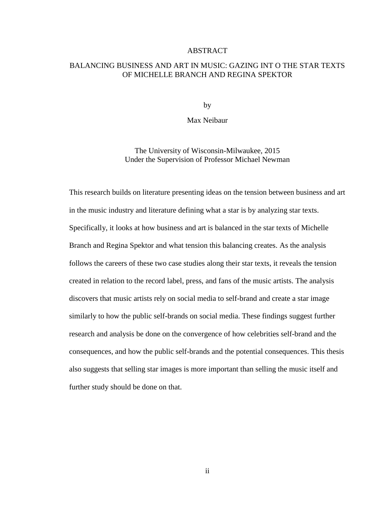#### ABSTRACT

#### BALANCING BUSINESS AND ART IN MUSIC: GAZING INT O THE STAR TEXTS OF MICHELLE BRANCH AND REGINA SPEKTOR

by

Max Neibaur

The University of Wisconsin-Milwaukee, 2015 Under the Supervision of Professor Michael Newman

This research builds on literature presenting ideas on the tension between business and art in the music industry and literature defining what a star is by analyzing star texts. Specifically, it looks at how business and art is balanced in the star texts of Michelle Branch and Regina Spektor and what tension this balancing creates. As the analysis follows the careers of these two case studies along their star texts, it reveals the tension created in relation to the record label, press, and fans of the music artists. The analysis discovers that music artists rely on social media to self-brand and create a star image similarly to how the public self-brands on social media. These findings suggest further research and analysis be done on the convergence of how celebrities self-brand and the consequences, and how the public self-brands and the potential consequences. This thesis also suggests that selling star images is more important than selling the music itself and further study should be done on that.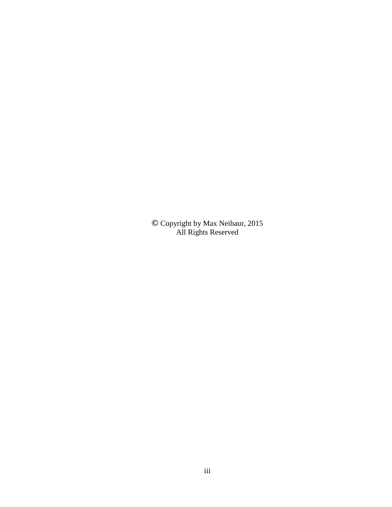**©** Copyright by Max Neibaur, 2015 All Rights Reserved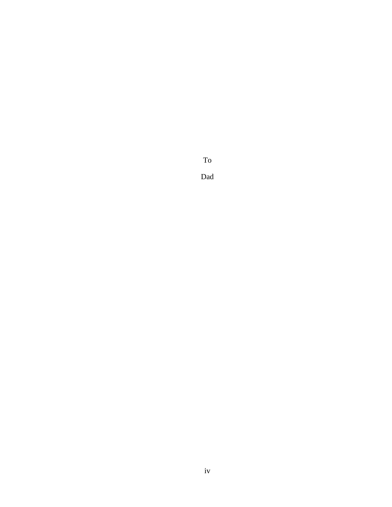To

Dad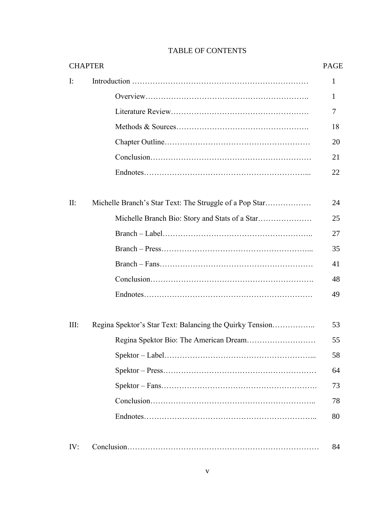| <b>CHAPTER</b> |  | <b>PAGE</b>  |
|----------------|--|--------------|
| I:             |  | $\mathbf{1}$ |
|                |  | 1            |
|                |  | 7            |
|                |  | 18           |
|                |  | 20           |
|                |  | 21           |
|                |  | 22           |
| II:            |  | 24           |
|                |  | 25           |
|                |  | 27           |
|                |  | 35           |
|                |  | 41           |
|                |  | 48           |
|                |  | 49           |
| III:           |  | 53           |
|                |  | 55           |
|                |  | 58           |
|                |  | 64           |
|                |  | 73           |
|                |  | 78           |
|                |  | 80           |
| IV:            |  | 84           |

### TABLE OF CONTENTS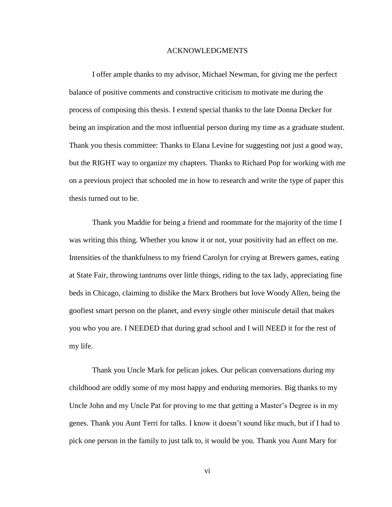#### ACKNOWLEDGMENTS

I offer ample thanks to my advisor, Michael Newman, for giving me the perfect balance of positive comments and constructive criticism to motivate me during the process of composing this thesis. I extend special thanks to the late Donna Decker for being an inspiration and the most influential person during my time as a graduate student. Thank you thesis committee: Thanks to Elana Levine for suggesting not just a good way, but the RIGHT way to organize my chapters. Thanks to Richard Pop for working with me on a previous project that schooled me in how to research and write the type of paper this thesis turned out to be.

Thank you Maddie for being a friend and roommate for the majority of the time I was writing this thing. Whether you know it or not, your positivity had an effect on me. Intensities of the thankfulness to my friend Carolyn for crying at Brewers games, eating at State Fair, throwing tantrums over little things, riding to the tax lady, appreciating fine beds in Chicago, claiming to dislike the Marx Brothers but love Woody Allen, being the goofiest smart person on the planet, and every single other miniscule detail that makes you who you are. I NEEDED that during grad school and I will NEED it for the rest of my life.

Thank you Uncle Mark for pelican jokes. Our pelican conversations during my childhood are oddly some of my most happy and enduring memories. Big thanks to my Uncle John and my Uncle Pat for proving to me that getting a Master's Degree is in my genes. Thank you Aunt Terri for talks. I know it doesn't sound like much, but if I had to pick one person in the family to just talk to, it would be you. Thank you Aunt Mary for

vi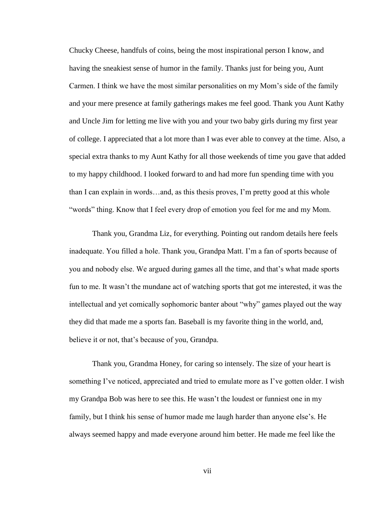Chucky Cheese, handfuls of coins, being the most inspirational person I know, and having the sneakiest sense of humor in the family. Thanks just for being you, Aunt Carmen. I think we have the most similar personalities on my Mom's side of the family and your mere presence at family gatherings makes me feel good. Thank you Aunt Kathy and Uncle Jim for letting me live with you and your two baby girls during my first year of college. I appreciated that a lot more than I was ever able to convey at the time. Also, a special extra thanks to my Aunt Kathy for all those weekends of time you gave that added to my happy childhood. I looked forward to and had more fun spending time with you than I can explain in words…and, as this thesis proves, I'm pretty good at this whole "words" thing. Know that I feel every drop of emotion you feel for me and my Mom.

Thank you, Grandma Liz, for everything. Pointing out random details here feels inadequate. You filled a hole. Thank you, Grandpa Matt. I'm a fan of sports because of you and nobody else. We argued during games all the time, and that's what made sports fun to me. It wasn't the mundane act of watching sports that got me interested, it was the intellectual and yet comically sophomoric banter about "why" games played out the way they did that made me a sports fan. Baseball is my favorite thing in the world, and, believe it or not, that's because of you, Grandpa.

Thank you, Grandma Honey, for caring so intensely. The size of your heart is something I've noticed, appreciated and tried to emulate more as I've gotten older. I wish my Grandpa Bob was here to see this. He wasn't the loudest or funniest one in my family, but I think his sense of humor made me laugh harder than anyone else's. He always seemed happy and made everyone around him better. He made me feel like the

vii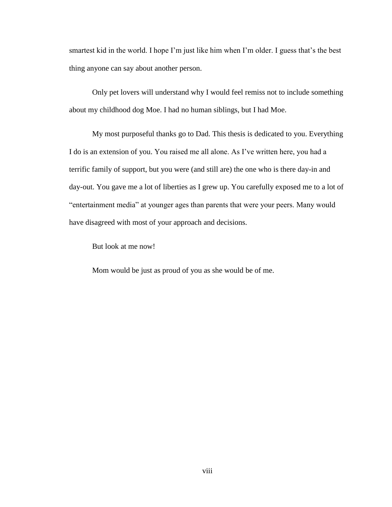smartest kid in the world. I hope I'm just like him when I'm older. I guess that's the best thing anyone can say about another person.

Only pet lovers will understand why I would feel remiss not to include something about my childhood dog Moe. I had no human siblings, but I had Moe.

My most purposeful thanks go to Dad. This thesis is dedicated to you. Everything I do is an extension of you. You raised me all alone. As I've written here, you had a terrific family of support, but you were (and still are) the one who is there day-in and day-out. You gave me a lot of liberties as I grew up. You carefully exposed me to a lot of "entertainment media" at younger ages than parents that were your peers. Many would have disagreed with most of your approach and decisions.

But look at me now!

Mom would be just as proud of you as she would be of me.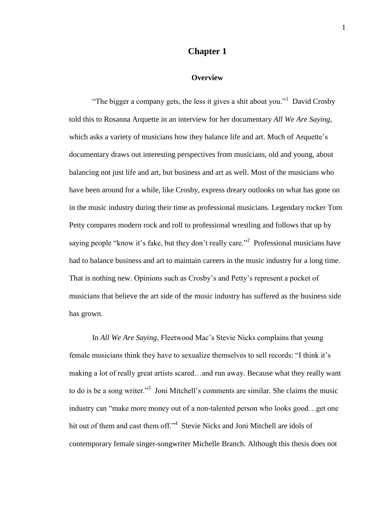#### **Chapter 1**

#### **Overview**

"The bigger a company gets, the less it gives a shit about you."<sup>1</sup> David Crosby told this to Rosanna Arquette in an interview for her documentary *All We Are Saying*, which asks a variety of musicians how they balance life and art. Much of Arquette's documentary draws out interesting perspectives from musicians, old and young, about balancing not just life and art, but business and art as well. Most of the musicians who have been around for a while, like Crosby, express dreary outlooks on what has gone on in the music industry during their time as professional musicians. Legendary rocker Tom Petty compares modern rock and roll to professional wrestling and follows that up by saying people "know it's fake, but they don't really care."<sup>2</sup> Professional musicians have had to balance business and art to maintain careers in the music industry for a long time. That is nothing new. Opinions such as Crosby's and Petty's represent a pocket of musicians that believe the art side of the music industry has suffered as the business side has grown.

In *All We Are Saying*, Fleetwood Mac's Stevie Nicks complains that young female musicians think they have to sexualize themselves to sell records: "I think it's making a lot of really great artists scared…and run away. Because what they really want to do is be a song writer."<sup>3</sup> Joni Mitchell's comments are similar. She claims the music industry can "make more money out of a non-talented person who looks good…get one hit out of them and cast them off."<sup>4</sup> Stevie Nicks and Joni Mitchell are idols of contemporary female singer-songwriter Michelle Branch. Although this thesis does not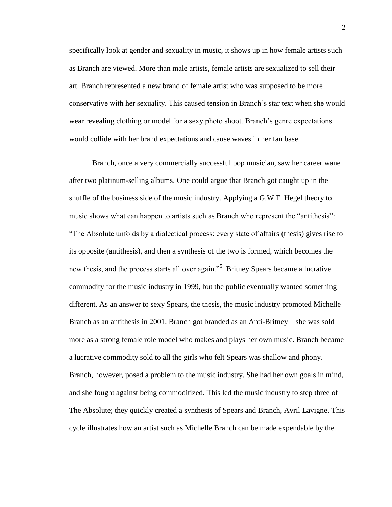specifically look at gender and sexuality in music, it shows up in how female artists such as Branch are viewed. More than male artists, female artists are sexualized to sell their art. Branch represented a new brand of female artist who was supposed to be more conservative with her sexuality. This caused tension in Branch's star text when she would wear revealing clothing or model for a sexy photo shoot. Branch's genre expectations would collide with her brand expectations and cause waves in her fan base.

Branch, once a very commercially successful pop musician, saw her career wane after two platinum-selling albums. One could argue that Branch got caught up in the shuffle of the business side of the music industry. Applying a G.W.F. Hegel theory to music shows what can happen to artists such as Branch who represent the "antithesis": "The Absolute unfolds by a dialectical process: every state of affairs (thesis) gives rise to its opposite (antithesis), and then a synthesis of the two is formed, which becomes the new thesis, and the process starts all over again.<sup>55</sup> Britney Spears became a lucrative commodity for the music industry in 1999, but the public eventually wanted something different. As an answer to sexy Spears, the thesis, the music industry promoted Michelle Branch as an antithesis in 2001. Branch got branded as an Anti-Britney—she was sold more as a strong female role model who makes and plays her own music. Branch became a lucrative commodity sold to all the girls who felt Spears was shallow and phony. Branch, however, posed a problem to the music industry. She had her own goals in mind, and she fought against being commoditized. This led the music industry to step three of The Absolute; they quickly created a synthesis of Spears and Branch, Avril Lavigne. This cycle illustrates how an artist such as Michelle Branch can be made expendable by the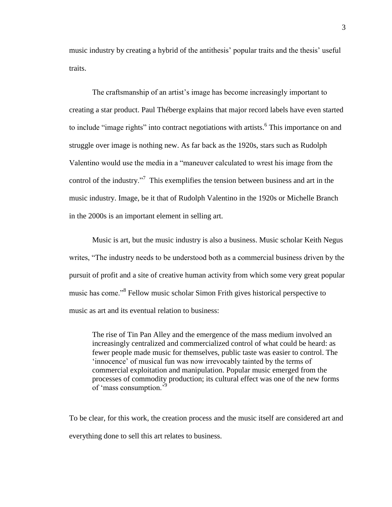music industry by creating a hybrid of the antithesis' popular traits and the thesis' useful traits.

The craftsmanship of an artist's image has become increasingly important to creating a star product. Paul Théberge explains that major record labels have even started to include "image rights" into contract negotiations with artists.<sup>6</sup> This importance on and struggle over image is nothing new. As far back as the 1920s, stars such as Rudolph Valentino would use the media in a "maneuver calculated to wrest his image from the control of the industry. $\cdot$ <sup>7</sup> This exemplifies the tension between business and art in the music industry. Image, be it that of Rudolph Valentino in the 1920s or Michelle Branch in the 2000s is an important element in selling art.

Music is art, but the music industry is also a business. Music scholar Keith Negus writes, "The industry needs to be understood both as a commercial business driven by the pursuit of profit and a site of creative human activity from which some very great popular music has come."<sup>8</sup> Fellow music scholar Simon Frith gives historical perspective to music as art and its eventual relation to business:

The rise of Tin Pan Alley and the emergence of the mass medium involved an increasingly centralized and commercialized control of what could be heard: as fewer people made music for themselves, public taste was easier to control. The 'innocence' of musical fun was now irrevocably tainted by the terms of commercial exploitation and manipulation. Popular music emerged from the processes of commodity production; its cultural effect was one of the new forms of 'mass consumption.'<sup>9</sup>

To be clear, for this work, the creation process and the music itself are considered art and everything done to sell this art relates to business.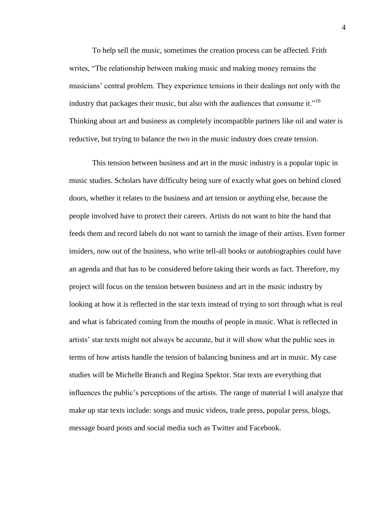To help sell the music, sometimes the creation process can be affected. Frith writes, "The relationship between making music and making money remains the musicians' central problem. They experience tensions in their dealings not only with the industry that packages their music, but also with the audiences that consume it."<sup>10</sup> Thinking about art and business as completely incompatible partners like oil and water is reductive, but trying to balance the two in the music industry does create tension.

This tension between business and art in the music industry is a popular topic in music studies. Scholars have difficulty being sure of exactly what goes on behind closed doors, whether it relates to the business and art tension or anything else, because the people involved have to protect their careers. Artists do not want to bite the hand that feeds them and record labels do not want to tarnish the image of their artists. Even former insiders, now out of the business, who write tell-all books or autobiographies could have an agenda and that has to be considered before taking their words as fact. Therefore, my project will focus on the tension between business and art in the music industry by looking at how it is reflected in the star texts instead of trying to sort through what is real and what is fabricated coming from the mouths of people in music. What is reflected in artists' star texts might not always be accurate, but it will show what the public sees in terms of how artists handle the tension of balancing business and art in music. My case studies will be Michelle Branch and Regina Spektor. Star texts are everything that influences the public's perceptions of the artists. The range of material I will analyze that make up star texts include: songs and music videos, trade press, popular press, blogs, message board posts and social media such as Twitter and Facebook.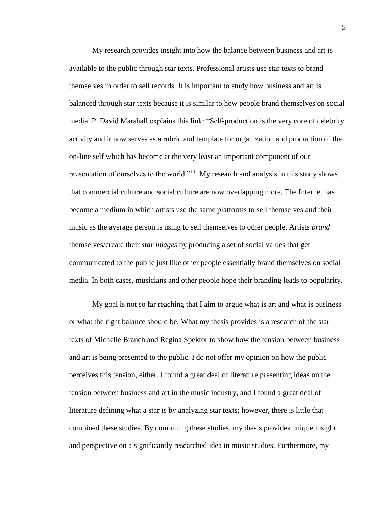My research provides insight into how the balance between business and art is available to the public through star texts. Professional artists use star texts to brand themselves in order to sell records. It is important to study how business and art is balanced through star texts because it is similar to how people brand themselves on social media. P. David Marshall explains this link: "Self-production is the very core of celebrity activity and it now serves as a rubric and template for organization and production of the on-line self which has become at the very least an important component of our presentation of ourselves to the world."<sup>11</sup> My research and analysis in this study shows that commercial culture and social culture are now overlapping more. The Internet has become a medium in which artists use the same platforms to sell themselves and their music as the average person is using to sell themselves to other people. Artists *brand*  themselves/create their *star images* by producing a set of social values that get communicated to the public just like other people essentially brand themselves on social media. In both cases, musicians and other people hope their branding leads to popularity.

My goal is not so far reaching that I aim to argue what is art and what is business or what the right balance should be. What my thesis provides is a research of the star texts of Michelle Branch and Regina Spektor to show how the tension between business and art is being presented to the public. I do not offer my opinion on how the public perceives this tension, either. I found a great deal of literature presenting ideas on the tension between business and art in the music industry, and I found a great deal of literature defining what a star is by analyzing star texts; however, there is little that combined these studies. By combining these studies, my thesis provides unique insight and perspective on a significantly researched idea in music studies. Furthermore, my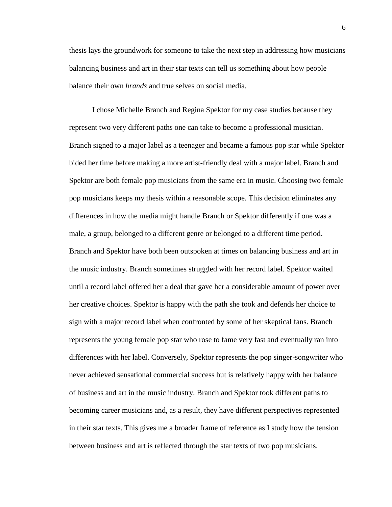thesis lays the groundwork for someone to take the next step in addressing how musicians balancing business and art in their star texts can tell us something about how people balance their own *brands* and true selves on social media.

I chose Michelle Branch and Regina Spektor for my case studies because they represent two very different paths one can take to become a professional musician. Branch signed to a major label as a teenager and became a famous pop star while Spektor bided her time before making a more artist-friendly deal with a major label. Branch and Spektor are both female pop musicians from the same era in music. Choosing two female pop musicians keeps my thesis within a reasonable scope. This decision eliminates any differences in how the media might handle Branch or Spektor differently if one was a male, a group, belonged to a different genre or belonged to a different time period. Branch and Spektor have both been outspoken at times on balancing business and art in the music industry. Branch sometimes struggled with her record label. Spektor waited until a record label offered her a deal that gave her a considerable amount of power over her creative choices. Spektor is happy with the path she took and defends her choice to sign with a major record label when confronted by some of her skeptical fans. Branch represents the young female pop star who rose to fame very fast and eventually ran into differences with her label. Conversely, Spektor represents the pop singer-songwriter who never achieved sensational commercial success but is relatively happy with her balance of business and art in the music industry. Branch and Spektor took different paths to becoming career musicians and, as a result, they have different perspectives represented in their star texts. This gives me a broader frame of reference as I study how the tension between business and art is reflected through the star texts of two pop musicians.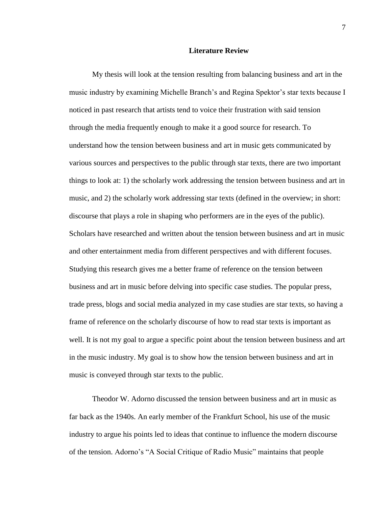#### **Literature Review**

My thesis will look at the tension resulting from balancing business and art in the music industry by examining Michelle Branch's and Regina Spektor's star texts because I noticed in past research that artists tend to voice their frustration with said tension through the media frequently enough to make it a good source for research. To understand how the tension between business and art in music gets communicated by various sources and perspectives to the public through star texts, there are two important things to look at: 1) the scholarly work addressing the tension between business and art in music, and 2) the scholarly work addressing star texts (defined in the overview; in short: discourse that plays a role in shaping who performers are in the eyes of the public). Scholars have researched and written about the tension between business and art in music and other entertainment media from different perspectives and with different focuses. Studying this research gives me a better frame of reference on the tension between business and art in music before delving into specific case studies. The popular press, trade press, blogs and social media analyzed in my case studies are star texts, so having a frame of reference on the scholarly discourse of how to read star texts is important as well. It is not my goal to argue a specific point about the tension between business and art in the music industry. My goal is to show how the tension between business and art in music is conveyed through star texts to the public.

Theodor W. Adorno discussed the tension between business and art in music as far back as the 1940s. An early member of the Frankfurt School, his use of the music industry to argue his points led to ideas that continue to influence the modern discourse of the tension. Adorno's "A Social Critique of Radio Music" maintains that people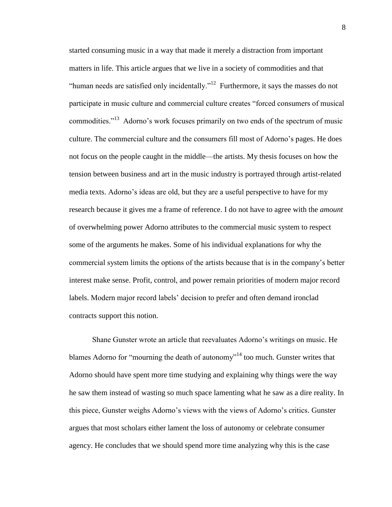started consuming music in a way that made it merely a distraction from important matters in life. This article argues that we live in a society of commodities and that "human needs are satisfied only incidentally."<sup>12</sup> Furthermore, it says the masses do not participate in music culture and commercial culture creates "forced consumers of musical commodities."<sup>13</sup> Adorno's work focuses primarily on two ends of the spectrum of music culture. The commercial culture and the consumers fill most of Adorno's pages. He does not focus on the people caught in the middle—the artists. My thesis focuses on how the tension between business and art in the music industry is portrayed through artist-related media texts. Adorno's ideas are old, but they are a useful perspective to have for my research because it gives me a frame of reference. I do not have to agree with the *amount* of overwhelming power Adorno attributes to the commercial music system to respect some of the arguments he makes. Some of his individual explanations for why the commercial system limits the options of the artists because that is in the company's better interest make sense. Profit, control, and power remain priorities of modern major record labels. Modern major record labels' decision to prefer and often demand ironclad contracts support this notion.

Shane Gunster wrote an article that reevaluates Adorno's writings on music. He blames Adorno for "mourning the death of autonomy"<sup>14</sup> too much. Gunster writes that Adorno should have spent more time studying and explaining why things were the way he saw them instead of wasting so much space lamenting what he saw as a dire reality. In this piece, Gunster weighs Adorno's views with the views of Adorno's critics. Gunster argues that most scholars either lament the loss of autonomy or celebrate consumer agency. He concludes that we should spend more time analyzing why this is the case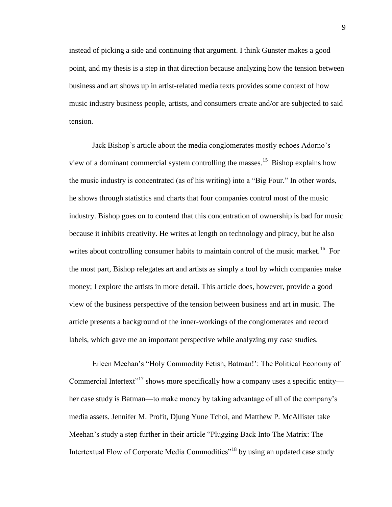instead of picking a side and continuing that argument. I think Gunster makes a good point, and my thesis is a step in that direction because analyzing how the tension between business and art shows up in artist-related media texts provides some context of how music industry business people, artists, and consumers create and/or are subjected to said tension.

Jack Bishop's article about the media conglomerates mostly echoes Adorno's view of a dominant commercial system controlling the masses.<sup>15</sup> Bishop explains how the music industry is concentrated (as of his writing) into a "Big Four." In other words, he shows through statistics and charts that four companies control most of the music industry. Bishop goes on to contend that this concentration of ownership is bad for music because it inhibits creativity. He writes at length on technology and piracy, but he also writes about controlling consumer habits to maintain control of the music market.<sup>16</sup> For the most part, Bishop relegates art and artists as simply a tool by which companies make money; I explore the artists in more detail. This article does, however, provide a good view of the business perspective of the tension between business and art in music. The article presents a background of the inner-workings of the conglomerates and record labels, which gave me an important perspective while analyzing my case studies.

Eileen Meehan's "Holy Commodity Fetish, Batman!': The Political Economy of Commercial Intertext"<sup>17</sup> shows more specifically how a company uses a specific entity her case study is Batman—to make money by taking advantage of all of the company's media assets. Jennifer M. Profit, Djung Yune Tchoi, and Matthew P. McAllister take Meehan's study a step further in their article "Plugging Back Into The Matrix: The Intertextual Flow of Corporate Media Commodities"<sup>18</sup> by using an updated case study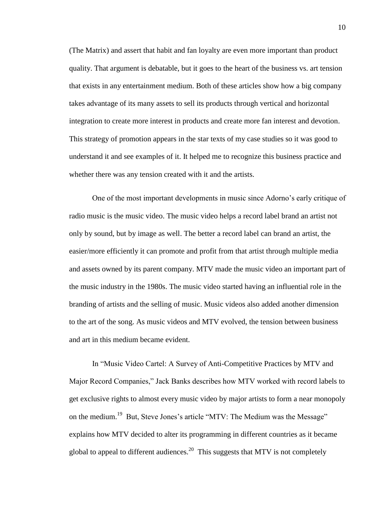(The Matrix) and assert that habit and fan loyalty are even more important than product quality. That argument is debatable, but it goes to the heart of the business vs. art tension that exists in any entertainment medium. Both of these articles show how a big company takes advantage of its many assets to sell its products through vertical and horizontal integration to create more interest in products and create more fan interest and devotion. This strategy of promotion appears in the star texts of my case studies so it was good to understand it and see examples of it. It helped me to recognize this business practice and whether there was any tension created with it and the artists.

One of the most important developments in music since Adorno's early critique of radio music is the music video. The music video helps a record label brand an artist not only by sound, but by image as well. The better a record label can brand an artist, the easier/more efficiently it can promote and profit from that artist through multiple media and assets owned by its parent company. MTV made the music video an important part of the music industry in the 1980s. The music video started having an influential role in the branding of artists and the selling of music. Music videos also added another dimension to the art of the song. As music videos and MTV evolved, the tension between business and art in this medium became evident.

In "Music Video Cartel: A Survey of Anti-Competitive Practices by MTV and Major Record Companies," Jack Banks describes how MTV worked with record labels to get exclusive rights to almost every music video by major artists to form a near monopoly on the medium.<sup>19</sup> But, Steve Jones's article "MTV: The Medium was the Message" explains how MTV decided to alter its programming in different countries as it became global to appeal to different audiences.<sup>20</sup> This suggests that MTV is not completely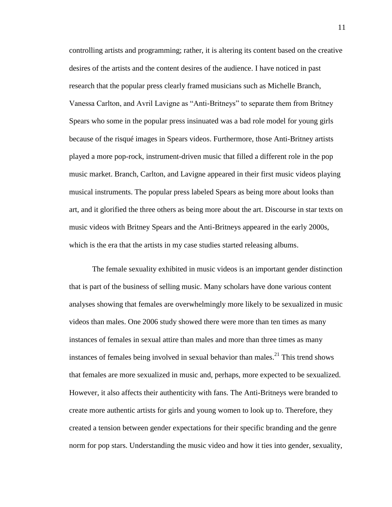controlling artists and programming; rather, it is altering its content based on the creative desires of the artists and the content desires of the audience. I have noticed in past research that the popular press clearly framed musicians such as Michelle Branch, Vanessa Carlton, and Avril Lavigne as "Anti-Britneys" to separate them from Britney Spears who some in the popular press insinuated was a bad role model for young girls because of the risqué images in Spears videos. Furthermore, those Anti-Britney artists played a more pop-rock, instrument-driven music that filled a different role in the pop music market. Branch, Carlton, and Lavigne appeared in their first music videos playing musical instruments. The popular press labeled Spears as being more about looks than art, and it glorified the three others as being more about the art. Discourse in star texts on music videos with Britney Spears and the Anti-Britneys appeared in the early 2000s, which is the era that the artists in my case studies started releasing albums.

The female sexuality exhibited in music videos is an important gender distinction that is part of the business of selling music. Many scholars have done various content analyses showing that females are overwhelmingly more likely to be sexualized in music videos than males. One 2006 study showed there were more than ten times as many instances of females in sexual attire than males and more than three times as many instances of females being involved in sexual behavior than males.<sup>21</sup> This trend shows that females are more sexualized in music and, perhaps, more expected to be sexualized. However, it also affects their authenticity with fans. The Anti-Britneys were branded to create more authentic artists for girls and young women to look up to. Therefore, they created a tension between gender expectations for their specific branding and the genre norm for pop stars. Understanding the music video and how it ties into gender, sexuality,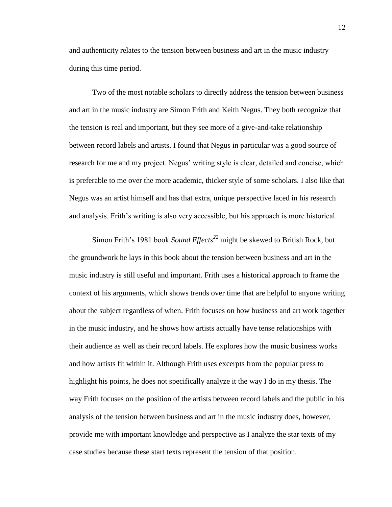and authenticity relates to the tension between business and art in the music industry during this time period.

Two of the most notable scholars to directly address the tension between business and art in the music industry are Simon Frith and Keith Negus. They both recognize that the tension is real and important, but they see more of a give-and-take relationship between record labels and artists. I found that Negus in particular was a good source of research for me and my project. Negus' writing style is clear, detailed and concise, which is preferable to me over the more academic, thicker style of some scholars. I also like that Negus was an artist himself and has that extra, unique perspective laced in his research and analysis. Frith's writing is also very accessible, but his approach is more historical.

Simon Frith's 1981 book *Sound Effects<sup>22</sup>* might be skewed to British Rock, but the groundwork he lays in this book about the tension between business and art in the music industry is still useful and important. Frith uses a historical approach to frame the context of his arguments, which shows trends over time that are helpful to anyone writing about the subject regardless of when. Frith focuses on how business and art work together in the music industry, and he shows how artists actually have tense relationships with their audience as well as their record labels. He explores how the music business works and how artists fit within it. Although Frith uses excerpts from the popular press to highlight his points, he does not specifically analyze it the way I do in my thesis. The way Frith focuses on the position of the artists between record labels and the public in his analysis of the tension between business and art in the music industry does, however, provide me with important knowledge and perspective as I analyze the star texts of my case studies because these start texts represent the tension of that position.

12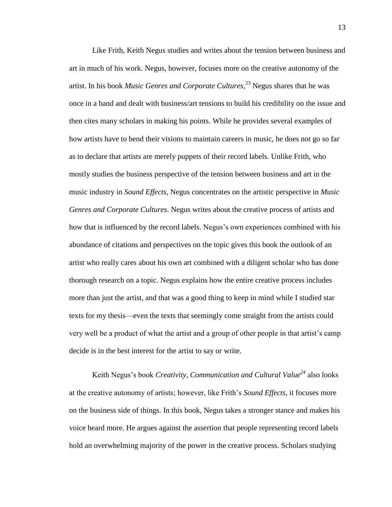Like Frith, Keith Negus studies and writes about the tension between business and art in much of his work. Negus, however, focuses more on the creative autonomy of the artist. In his book *Music Genres and Corporate Cultures*, <sup>23</sup> Negus shares that he was once in a band and dealt with business/art tensions to build his credibility on the issue and then cites many scholars in making his points. While he provides several examples of how artists have to bend their visions to maintain careers in music, he does not go so far as to declare that artists are merely puppets of their record labels. Unlike Frith, who mostly studies the business perspective of the tension between business and art in the music industry in *Sound Effects*, Negus concentrates on the artistic perspective in *Music Genres and Corporate Cultures*. Negus writes about the creative process of artists and how that is influenced by the record labels. Negus's own experiences combined with his abundance of citations and perspectives on the topic gives this book the outlook of an artist who really cares about his own art combined with a diligent scholar who has done thorough research on a topic. Negus explains how the entire creative process includes more than just the artist, and that was a good thing to keep in mind while I studied star texts for my thesis—even the texts that seemingly come straight from the artists could very well be a product of what the artist and a group of other people in that artist's camp decide is in the best interest for the artist to say or write.

Keith Negus's book *Creativity, Communication and Cultural Value<sup>24</sup>* also looks at the creative autonomy of artists; however, like Frith's *Sound Effects*, it focuses more on the business side of things. In this book, Negus takes a stronger stance and makes his voice heard more. He argues against the assertion that people representing record labels hold an overwhelming majority of the power in the creative process. Scholars studying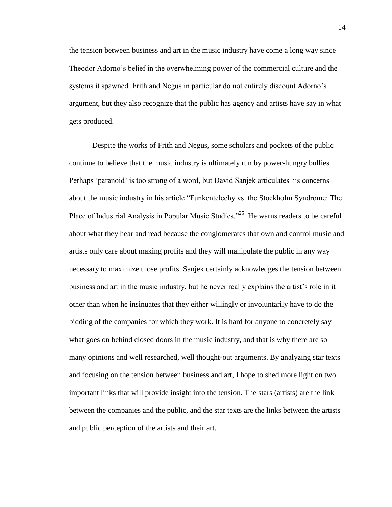the tension between business and art in the music industry have come a long way since Theodor Adorno's belief in the overwhelming power of the commercial culture and the systems it spawned. Frith and Negus in particular do not entirely discount Adorno's argument, but they also recognize that the public has agency and artists have say in what gets produced.

Despite the works of Frith and Negus, some scholars and pockets of the public continue to believe that the music industry is ultimately run by power-hungry bullies. Perhaps 'paranoid' is too strong of a word, but David Sanjek articulates his concerns about the music industry in his article "Funkentelechy vs. the Stockholm Syndrome: The Place of Industrial Analysis in Popular Music Studies."<sup>25</sup> He warns readers to be careful about what they hear and read because the conglomerates that own and control music and artists only care about making profits and they will manipulate the public in any way necessary to maximize those profits. Sanjek certainly acknowledges the tension between business and art in the music industry, but he never really explains the artist's role in it other than when he insinuates that they either willingly or involuntarily have to do the bidding of the companies for which they work. It is hard for anyone to concretely say what goes on behind closed doors in the music industry, and that is why there are so many opinions and well researched, well thought-out arguments. By analyzing star texts and focusing on the tension between business and art, I hope to shed more light on two important links that will provide insight into the tension. The stars (artists) are the link between the companies and the public, and the star texts are the links between the artists and public perception of the artists and their art.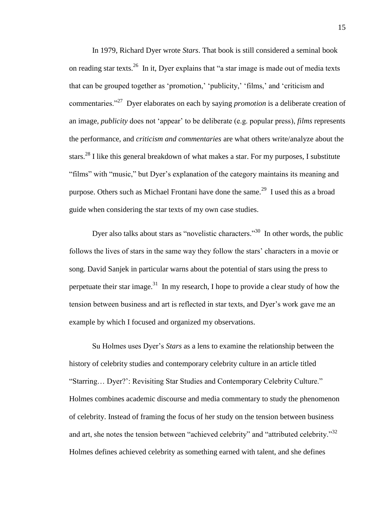In 1979, Richard Dyer wrote *Stars*. That book is still considered a seminal book on reading star texts.<sup>26</sup> In it, Dyer explains that "a star image is made out of media texts that can be grouped together as 'promotion,' 'publicity,' 'films,' and 'criticism and commentaries."<sup>27</sup> Dyer elaborates on each by saying *promotion* is a deliberate creation of an image, *publicity* does not 'appear' to be deliberate (e.g. popular press), *films* represents the performance, and *criticism and commentaries* are what others write/analyze about the stars.<sup>28</sup> I like this general breakdown of what makes a star. For my purposes, I substitute "films" with "music," but Dyer's explanation of the category maintains its meaning and purpose. Others such as Michael Frontani have done the same.<sup>29</sup> I used this as a broad guide when considering the star texts of my own case studies.

Dyer also talks about stars as "novelistic characters."<sup>30</sup> In other words, the public follows the lives of stars in the same way they follow the stars' characters in a movie or song. David Sanjek in particular warns about the potential of stars using the press to perpetuate their star image.<sup>31</sup> In my research, I hope to provide a clear study of how the tension between business and art is reflected in star texts, and Dyer's work gave me an example by which I focused and organized my observations.

Su Holmes uses Dyer's *Stars* as a lens to examine the relationship between the history of celebrity studies and contemporary celebrity culture in an article titled "Starring… Dyer?': Revisiting Star Studies and Contemporary Celebrity Culture." Holmes combines academic discourse and media commentary to study the phenomenon of celebrity. Instead of framing the focus of her study on the tension between business and art, she notes the tension between "achieved celebrity" and "attributed celebrity."<sup>32</sup> Holmes defines achieved celebrity as something earned with talent, and she defines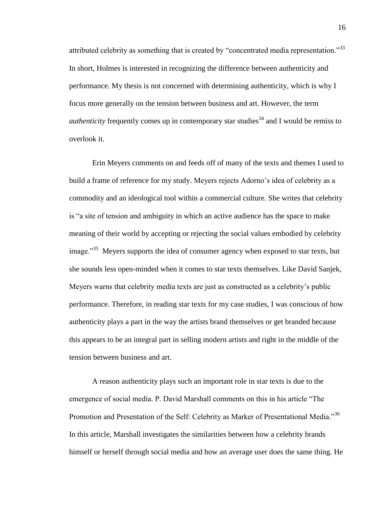attributed celebrity as something that is created by "concentrated media representation."<sup>33</sup> In short, Holmes is interested in recognizing the difference between authenticity and performance. My thesis is not concerned with determining authenticity, which is why I focus more generally on the tension between business and art. However, the term *authenticity* frequently comes up in contemporary star studies<sup>34</sup> and I would be remiss to overlook it.

Erin Meyers comments on and feeds off of many of the texts and themes I used to build a frame of reference for my study. Meyers rejects Adorno's idea of celebrity as a commodity and an ideological tool within a commercial culture. She writes that celebrity is "a site of tension and ambiguity in which an active audience has the space to make meaning of their world by accepting or rejecting the social values embodied by celebrity image."<sup>35</sup> Meyers supports the idea of consumer agency when exposed to star texts, but she sounds less open-minded when it comes to star texts themselves. Like David Sanjek, Meyers warns that celebrity media texts are just as constructed as a celebrity's public performance. Therefore, in reading star texts for my case studies, I was conscious of how authenticity plays a part in the way the artists brand themselves or get branded because this appears to be an integral part in selling modern artists and right in the middle of the tension between business and art.

A reason authenticity plays such an important role in star texts is due to the emergence of social media. P. David Marshall comments on this in his article "The Promotion and Presentation of the Self: Celebrity as Marker of Presentational Media."<sup>36</sup> In this article, Marshall investigates the similarities between how a celebrity brands himself or herself through social media and how an average user does the same thing. He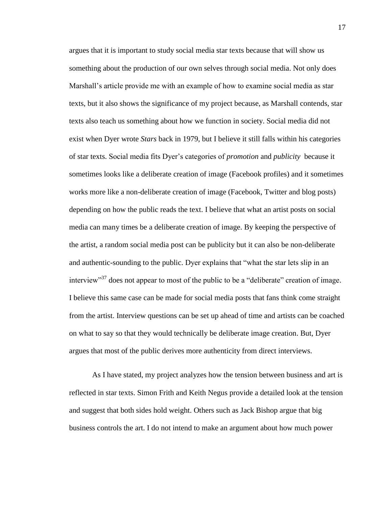argues that it is important to study social media star texts because that will show us something about the production of our own selves through social media. Not only does Marshall's article provide me with an example of how to examine social media as star texts, but it also shows the significance of my project because, as Marshall contends, star texts also teach us something about how we function in society. Social media did not exist when Dyer wrote *Stars* back in 1979, but I believe it still falls within his categories of star texts. Social media fits Dyer's categories of *promotion* and *publicity* because it sometimes looks like a deliberate creation of image (Facebook profiles) and it sometimes works more like a non-deliberate creation of image (Facebook, Twitter and blog posts) depending on how the public reads the text. I believe that what an artist posts on social media can many times be a deliberate creation of image. By keeping the perspective of the artist, a random social media post can be publicity but it can also be non-deliberate and authentic-sounding to the public. Dyer explains that "what the star lets slip in an interview"<sup>37</sup> does not appear to most of the public to be a "deliberate" creation of image. I believe this same case can be made for social media posts that fans think come straight from the artist. Interview questions can be set up ahead of time and artists can be coached on what to say so that they would technically be deliberate image creation. But, Dyer argues that most of the public derives more authenticity from direct interviews.

As I have stated, my project analyzes how the tension between business and art is reflected in star texts. Simon Frith and Keith Negus provide a detailed look at the tension and suggest that both sides hold weight. Others such as Jack Bishop argue that big business controls the art. I do not intend to make an argument about how much power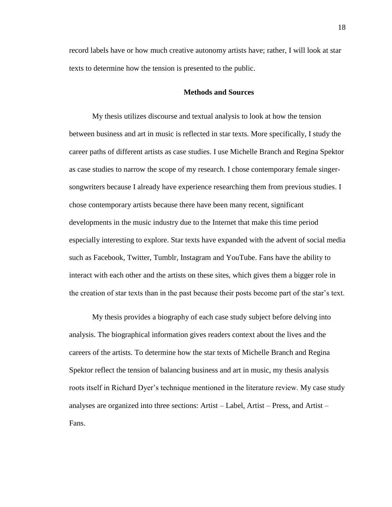record labels have or how much creative autonomy artists have; rather, I will look at star texts to determine how the tension is presented to the public.

#### **Methods and Sources**

My thesis utilizes discourse and textual analysis to look at how the tension between business and art in music is reflected in star texts. More specifically, I study the career paths of different artists as case studies. I use Michelle Branch and Regina Spektor as case studies to narrow the scope of my research. I chose contemporary female singersongwriters because I already have experience researching them from previous studies. I chose contemporary artists because there have been many recent, significant developments in the music industry due to the Internet that make this time period especially interesting to explore. Star texts have expanded with the advent of social media such as Facebook, Twitter, Tumblr, Instagram and YouTube. Fans have the ability to interact with each other and the artists on these sites, which gives them a bigger role in the creation of star texts than in the past because their posts become part of the star's text.

My thesis provides a biography of each case study subject before delving into analysis. The biographical information gives readers context about the lives and the careers of the artists. To determine how the star texts of Michelle Branch and Regina Spektor reflect the tension of balancing business and art in music, my thesis analysis roots itself in Richard Dyer's technique mentioned in the literature review. My case study analyses are organized into three sections: Artist – Label, Artist – Press, and Artist – Fans.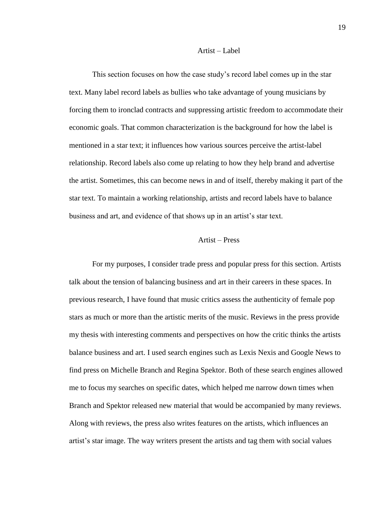#### Artist – Label

This section focuses on how the case study's record label comes up in the star text. Many label record labels as bullies who take advantage of young musicians by forcing them to ironclad contracts and suppressing artistic freedom to accommodate their economic goals. That common characterization is the background for how the label is mentioned in a star text; it influences how various sources perceive the artist-label relationship. Record labels also come up relating to how they help brand and advertise the artist. Sometimes, this can become news in and of itself, thereby making it part of the star text. To maintain a working relationship, artists and record labels have to balance business and art, and evidence of that shows up in an artist's star text.

#### Artist – Press

For my purposes, I consider trade press and popular press for this section. Artists talk about the tension of balancing business and art in their careers in these spaces. In previous research, I have found that music critics assess the authenticity of female pop stars as much or more than the artistic merits of the music. Reviews in the press provide my thesis with interesting comments and perspectives on how the critic thinks the artists balance business and art. I used search engines such as Lexis Nexis and Google News to find press on Michelle Branch and Regina Spektor. Both of these search engines allowed me to focus my searches on specific dates, which helped me narrow down times when Branch and Spektor released new material that would be accompanied by many reviews. Along with reviews, the press also writes features on the artists, which influences an artist's star image. The way writers present the artists and tag them with social values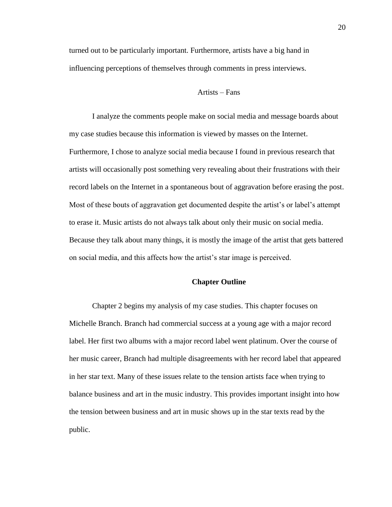turned out to be particularly important. Furthermore, artists have a big hand in influencing perceptions of themselves through comments in press interviews.

#### Artists – Fans

I analyze the comments people make on social media and message boards about my case studies because this information is viewed by masses on the Internet. Furthermore, I chose to analyze social media because I found in previous research that artists will occasionally post something very revealing about their frustrations with their record labels on the Internet in a spontaneous bout of aggravation before erasing the post. Most of these bouts of aggravation get documented despite the artist's or label's attempt to erase it. Music artists do not always talk about only their music on social media. Because they talk about many things, it is mostly the image of the artist that gets battered on social media, and this affects how the artist's star image is perceived.

#### **Chapter Outline**

Chapter 2 begins my analysis of my case studies. This chapter focuses on Michelle Branch. Branch had commercial success at a young age with a major record label. Her first two albums with a major record label went platinum. Over the course of her music career, Branch had multiple disagreements with her record label that appeared in her star text. Many of these issues relate to the tension artists face when trying to balance business and art in the music industry. This provides important insight into how the tension between business and art in music shows up in the star texts read by the public.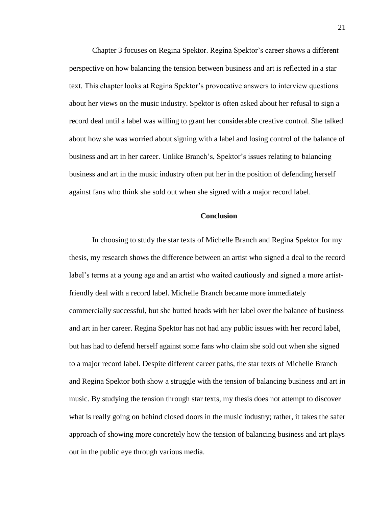Chapter 3 focuses on Regina Spektor. Regina Spektor's career shows a different perspective on how balancing the tension between business and art is reflected in a star text. This chapter looks at Regina Spektor's provocative answers to interview questions about her views on the music industry. Spektor is often asked about her refusal to sign a record deal until a label was willing to grant her considerable creative control. She talked about how she was worried about signing with a label and losing control of the balance of business and art in her career. Unlike Branch's, Spektor's issues relating to balancing business and art in the music industry often put her in the position of defending herself against fans who think she sold out when she signed with a major record label.

#### **Conclusion**

In choosing to study the star texts of Michelle Branch and Regina Spektor for my thesis, my research shows the difference between an artist who signed a deal to the record label's terms at a young age and an artist who waited cautiously and signed a more artistfriendly deal with a record label. Michelle Branch became more immediately commercially successful, but she butted heads with her label over the balance of business and art in her career. Regina Spektor has not had any public issues with her record label, but has had to defend herself against some fans who claim she sold out when she signed to a major record label. Despite different career paths, the star texts of Michelle Branch and Regina Spektor both show a struggle with the tension of balancing business and art in music. By studying the tension through star texts, my thesis does not attempt to discover what is really going on behind closed doors in the music industry; rather, it takes the safer approach of showing more concretely how the tension of balancing business and art plays out in the public eye through various media.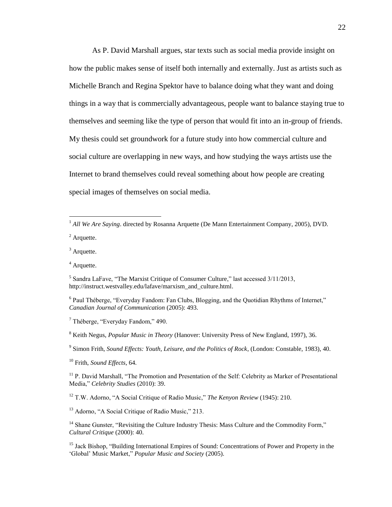As P. David Marshall argues, star texts such as social media provide insight on how the public makes sense of itself both internally and externally. Just as artists such as Michelle Branch and Regina Spektor have to balance doing what they want and doing things in a way that is commercially advantageous, people want to balance staying true to themselves and seeming like the type of person that would fit into an in-group of friends. My thesis could set groundwork for a future study into how commercial culture and social culture are overlapping in new ways, and how studying the ways artists use the Internet to brand themselves could reveal something about how people are creating special images of themselves on social media.

 $\overline{a}$ 

 $3$  Arquette.

<sup>4</sup> Arquette.

 $7$  Théberge, "Everyday Fandom," 490.

<sup>8</sup> Keith Negus, *Popular Music in Theory* (Hanover: University Press of New England, 1997), 36.

9 Simon Frith, *Sound Effects: Youth, Leisure, and the Politics of Rock*, (London: Constable, 1983), 40.

<sup>10</sup> Frith, *Sound Effects*, 64.

 $11$  P. David Marshall, "The Promotion and Presentation of the Self: Celebrity as Marker of Presentational Media," *Celebrity Studies* (2010): 39.

<sup>12</sup> T.W. Adorno, "A Social Critique of Radio Music," *The Kenyon Review* (1945): 210.

<sup>13</sup> Adorno, "A Social Critique of Radio Music," 213.

<sup>14</sup> Shane Gunster, "Revisiting the Culture Industry Thesis: Mass Culture and the Commodity Form," *Cultural Critique* (2000): 40.

<sup>15</sup> Jack Bishop, "Building International Empires of Sound: Concentrations of Power and Property in the 'Global' Music Market," *Popular Music and Society* (2005).

<sup>&</sup>lt;sup>1</sup> All We Are Saying, directed by Rosanna Arquette (De Mann Entertainment Company, 2005), DVD.

<sup>&</sup>lt;sup>2</sup> Arquette.

<sup>&</sup>lt;sup>5</sup> Sandra LaFave, "The Marxist Critique of Consumer Culture," last accessed 3/11/2013, http://instruct.westvalley.edu/lafave/marxism\_and\_culture.html.

<sup>&</sup>lt;sup>6</sup> Paul Théberge, "Everyday Fandom: Fan Clubs, Blogging, and the Quotidian Rhythms of Internet," *Canadian Journal of Communication* (2005): 493.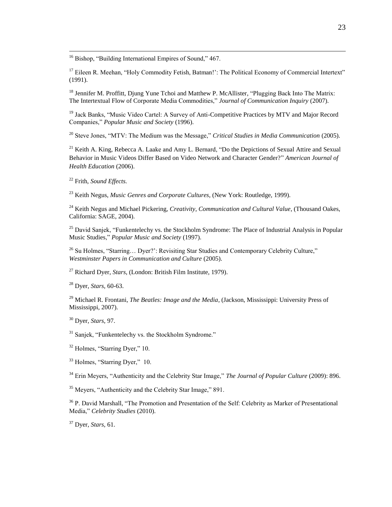<sup>16</sup> Bishop, "Building International Empires of Sound," 467.

<sup>17</sup> Eileen R. Meehan, "Holy Commodity Fetish, Batman!": The Political Economy of Commercial Intertext" (1991).

<sup>18</sup> Jennifer M. Proffitt, Djung Yune Tchoi and Matthew P. McAllister, "Plugging Back Into The Matrix: The Intertextual Flow of Corporate Media Commodities," *Journal of Communication Inquiry* (2007).

<sup>19</sup> Jack Banks, "Music Video Cartel: A Survey of Anti-Competitive Practices by MTV and Major Record Companies," *Popular Music and Society* (1996).

<sup>20</sup> Steve Jones, "MTV: The Medium was the Message," *Critical Studies in Media Communication* (2005).

<sup>21</sup> Keith A. King, Rebecca A. Laake and Amy L. Bernard, "Do the Depictions of Sexual Attire and Sexual Behavior in Music Videos Differ Based on Video Network and Character Gender?" *American Journal of Health Education* (2006).

<sup>22</sup> Frith, *Sound Effects.*

 $\overline{a}$ 

<sup>23</sup> Keith Negus, *Music Genres and Corporate Cultures*, (New York: Routledge, 1999).

<sup>24</sup> Keith Negus and Michael Pickering, *Creativity, Communication and Cultural Value*, (Thousand Oakes, California: SAGE, 2004).

<sup>25</sup> David Sanjek, "Funkentelechy vs. the Stockholm Syndrome: The Place of Industrial Analysis in Popular Music Studies," *Popular Music and Society* (1997).

<sup>26</sup> Su Holmes, "Starring... Dyer?': Revisiting Star Studies and Contemporary Celebrity Culture," *Westminster Papers in Communication and Culture* (2005).

<sup>27</sup> Richard Dyer, *Stars*, (London: British Film Institute, 1979).

<sup>28</sup> Dyer, *Stars,* 60-63.

<sup>29</sup> Michael R. Frontani, *The Beatles: Image and the Media*, (Jackson, Mississippi: University Press of Mississippi, 2007).

<sup>30</sup> Dyer, *Stars,* 97.

<sup>31</sup> Sanjek, "Funkentelechy vs. the Stockholm Syndrome."

<sup>32</sup> Holmes, "Starring Dyer," 10.

<sup>33</sup> Holmes, "Starring Dyer," 10.

<sup>34</sup> Erin Meyers, "Authenticity and the Celebrity Star Image," *The Journal of Popular Culture* (2009): 896.

<sup>35</sup> Meyers, "Authenticity and the Celebrity Star Image," 891.

<sup>36</sup> P. David Marshall, "The Promotion and Presentation of the Self: Celebrity as Marker of Presentational Media," *Celebrity Studies* (2010).

<sup>37</sup> Dyer, *Stars,* 61.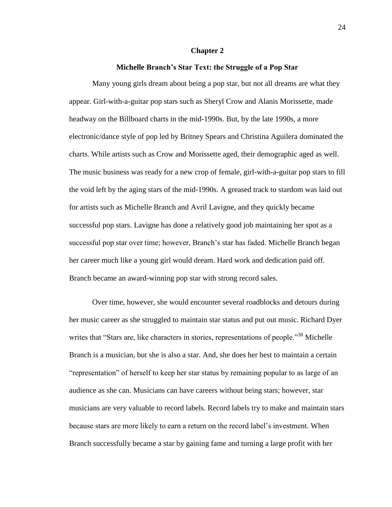#### **Chapter 2**

#### **Michelle Branch's Star Text: the Struggle of a Pop Star**

Many young girls dream about being a pop star, but not all dreams are what they appear. Girl-with-a-guitar pop stars such as Sheryl Crow and Alanis Morissette, made headway on the Billboard charts in the mid-1990s. But, by the late 1990s, a more electronic/dance style of pop led by Britney Spears and Christina Aguilera dominated the charts. While artists such as Crow and Morissette aged, their demographic aged as well. The music business was ready for a new crop of female, girl-with-a-guitar pop stars to fill the void left by the aging stars of the mid-1990s. A greased track to stardom was laid out for artists such as Michelle Branch and Avril Lavigne, and they quickly became successful pop stars. Lavigne has done a relatively good job maintaining her spot as a successful pop star over time; however, Branch's star has faded. Michelle Branch began her career much like a young girl would dream. Hard work and dedication paid off. Branch became an award-winning pop star with strong record sales.

Over time, however, she would encounter several roadblocks and detours during her music career as she struggled to maintain star status and put out music. Richard Dyer writes that "Stars are, like characters in stories, representations of people."<sup>38</sup> Michelle Branch is a musician, but she is also a star. And, she does her best to maintain a certain "representation" of herself to keep her star status by remaining popular to as large of an audience as she can. Musicians can have careers without being stars; however, star musicians are very valuable to record labels. Record labels try to make and maintain stars because stars are more likely to earn a return on the record label's investment. When Branch successfully became a star by gaining fame and turning a large profit with her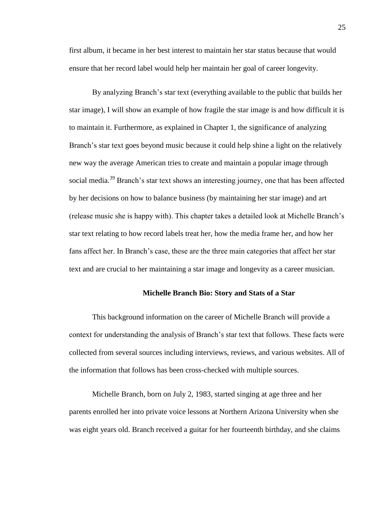first album, it became in her best interest to maintain her star status because that would ensure that her record label would help her maintain her goal of career longevity.

By analyzing Branch's star text (everything available to the public that builds her star image), I will show an example of how fragile the star image is and how difficult it is to maintain it. Furthermore, as explained in Chapter 1, the significance of analyzing Branch's star text goes beyond music because it could help shine a light on the relatively new way the average American tries to create and maintain a popular image through social media.<sup>39</sup> Branch's star text shows an interesting journey, one that has been affected by her decisions on how to balance business (by maintaining her star image) and art (release music she is happy with). This chapter takes a detailed look at Michelle Branch's star text relating to how record labels treat her, how the media frame her, and how her fans affect her. In Branch's case, these are the three main categories that affect her star text and are crucial to her maintaining a star image and longevity as a career musician.

#### **Michelle Branch Bio: Story and Stats of a Star**

This background information on the career of Michelle Branch will provide a context for understanding the analysis of Branch's star text that follows. These facts were collected from several sources including interviews, reviews, and various websites. All of the information that follows has been cross-checked with multiple sources.

Michelle Branch, born on July 2, 1983, started singing at age three and her parents enrolled her into private voice lessons at Northern Arizona University when she was eight years old. Branch received a guitar for her fourteenth birthday, and she claims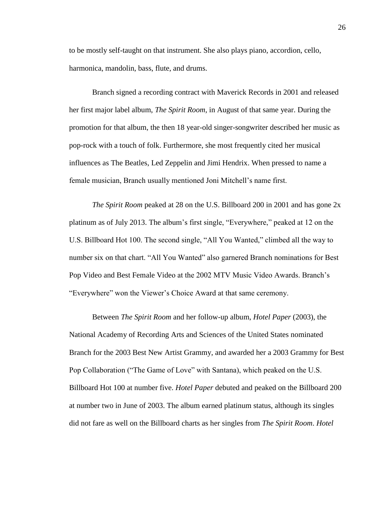to be mostly self-taught on that instrument. She also plays piano, accordion, cello, harmonica, mandolin, bass, flute, and drums.

Branch signed a recording contract with Maverick Records in 2001 and released her first major label album, *The Spirit Room*, in August of that same year. During the promotion for that album, the then 18 year-old singer-songwriter described her music as pop-rock with a touch of folk. Furthermore, she most frequently cited her musical influences as The Beatles, Led Zeppelin and Jimi Hendrix. When pressed to name a female musician, Branch usually mentioned Joni Mitchell's name first.

*The Spirit Room* peaked at 28 on the U.S. Billboard 200 in 2001 and has gone 2x platinum as of July 2013. The album's first single, "Everywhere," peaked at 12 on the U.S. Billboard Hot 100. The second single, "All You Wanted," climbed all the way to number six on that chart. "All You Wanted" also garnered Branch nominations for Best Pop Video and Best Female Video at the 2002 MTV Music Video Awards. Branch's "Everywhere" won the Viewer's Choice Award at that same ceremony.

Between *The Spirit Room* and her follow-up album, *Hotel Paper* (2003), the National Academy of Recording Arts and Sciences of the United States nominated Branch for the 2003 Best New Artist Grammy, and awarded her a 2003 Grammy for Best Pop Collaboration ("The Game of Love" with Santana), which peaked on the U.S. Billboard Hot 100 at number five. *Hotel Paper* debuted and peaked on the Billboard 200 at number two in June of 2003. The album earned platinum status, although its singles did not fare as well on the Billboard charts as her singles from *The Spirit Room*. *Hotel*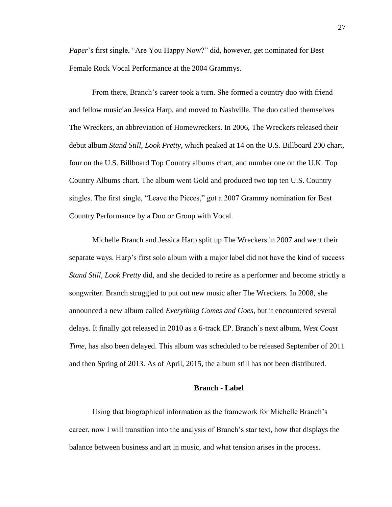*Paper*'s first single, "Are You Happy Now?" did, however, get nominated for Best Female Rock Vocal Performance at the 2004 Grammys.

From there, Branch's career took a turn. She formed a country duo with friend and fellow musician Jessica Harp, and moved to Nashville. The duo called themselves The Wreckers, an abbreviation of Homewreckers. In 2006, The Wreckers released their debut album *Stand Still, Look Pretty*, which peaked at 14 on the U.S. Billboard 200 chart, four on the U.S. Billboard Top Country albums chart, and number one on the U.K. Top Country Albums chart. The album went Gold and produced two top ten U.S. Country singles. The first single, "Leave the Pieces," got a 2007 Grammy nomination for Best Country Performance by a Duo or Group with Vocal.

Michelle Branch and Jessica Harp split up The Wreckers in 2007 and went their separate ways. Harp's first solo album with a major label did not have the kind of success *Stand Still, Look Pretty* did, and she decided to retire as a performer and become strictly a songwriter. Branch struggled to put out new music after The Wreckers. In 2008, she announced a new album called *Everything Comes and Goes*, but it encountered several delays. It finally got released in 2010 as a 6-track EP. Branch's next album, *West Coast Time*, has also been delayed. This album was scheduled to be released September of 2011 and then Spring of 2013. As of April, 2015, the album still has not been distributed.

#### **Branch - Label**

Using that biographical information as the framework for Michelle Branch's career, now I will transition into the analysis of Branch's star text, how that displays the balance between business and art in music, and what tension arises in the process.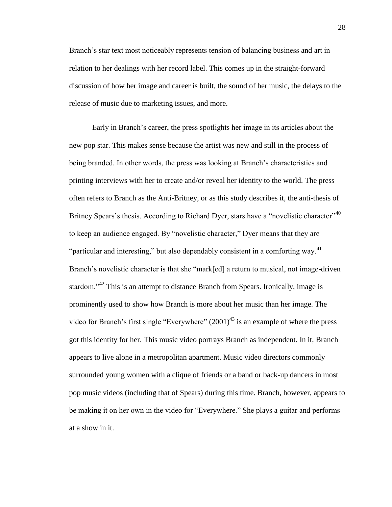Branch's star text most noticeably represents tension of balancing business and art in relation to her dealings with her record label. This comes up in the straight-forward discussion of how her image and career is built, the sound of her music, the delays to the release of music due to marketing issues, and more.

Early in Branch's career, the press spotlights her image in its articles about the new pop star. This makes sense because the artist was new and still in the process of being branded. In other words, the press was looking at Branch's characteristics and printing interviews with her to create and/or reveal her identity to the world. The press often refers to Branch as the Anti-Britney, or as this study describes it, the anti-thesis of Britney Spears's thesis. According to Richard Dyer, stars have a "novelistic character"<sup>40</sup> to keep an audience engaged. By "novelistic character," Dyer means that they are "particular and interesting," but also dependably consistent in a comforting way.<sup>41</sup> Branch's novelistic character is that she "mark[ed] a return to musical, not image-driven stardom."<sup>42</sup> This is an attempt to distance Branch from Spears. Ironically, image is prominently used to show how Branch is more about her music than her image. The video for Branch's first single "Everywhere"  $(2001)^{43}$  is an example of where the press got this identity for her. This music video portrays Branch as independent. In it, Branch appears to live alone in a metropolitan apartment. Music video directors commonly surrounded young women with a clique of friends or a band or back-up dancers in most pop music videos (including that of Spears) during this time. Branch, however, appears to be making it on her own in the video for "Everywhere." She plays a guitar and performs at a show in it.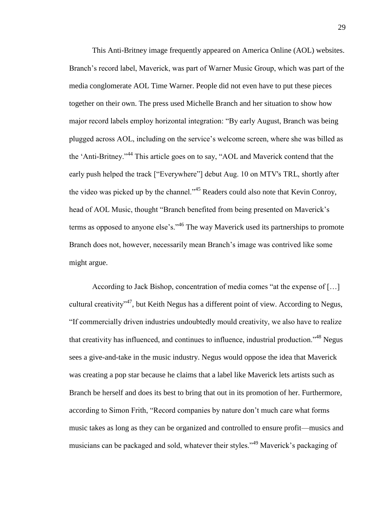This Anti-Britney image frequently appeared on America Online (AOL) websites. Branch's record label, Maverick, was part of Warner Music Group, which was part of the media conglomerate AOL Time Warner. People did not even have to put these pieces together on their own. The press used Michelle Branch and her situation to show how major record labels employ horizontal integration: "By early August, Branch was being plugged across AOL, including on the service's welcome screen, where she was billed as the 'Anti-Britney."<sup>44</sup> This article goes on to say, "AOL and Maverick contend that the early push helped the track ["Everywhere"] debut Aug. 10 on MTV's TRL, shortly after the video was picked up by the channel."<sup>45</sup> Readers could also note that Kevin Conroy, head of AOL Music, thought "Branch benefited from being presented on Maverick's terms as opposed to anyone else's."<sup>46</sup> The way Maverick used its partnerships to promote Branch does not, however, necessarily mean Branch's image was contrived like some might argue.

According to Jack Bishop, concentration of media comes "at the expense of […] cultural creativity<sup> $347$ </sup>, but Keith Negus has a different point of view. According to Negus, "If commercially driven industries undoubtedly mould creativity, we also have to realize that creativity has influenced, and continues to influence, industrial production."<sup>48</sup> Negus sees a give-and-take in the music industry. Negus would oppose the idea that Maverick was creating a pop star because he claims that a label like Maverick lets artists such as Branch be herself and does its best to bring that out in its promotion of her. Furthermore, according to Simon Frith, "Record companies by nature don't much care what forms music takes as long as they can be organized and controlled to ensure profit—musics and musicians can be packaged and sold, whatever their styles."<sup>49</sup> Maverick's packaging of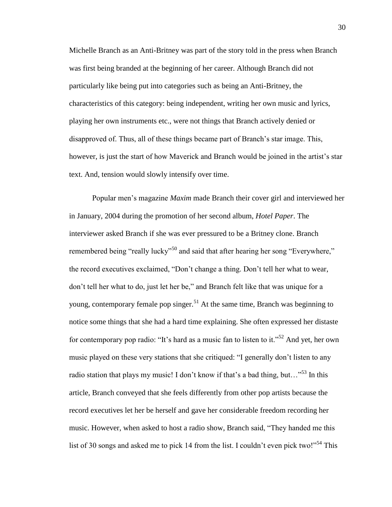Michelle Branch as an Anti-Britney was part of the story told in the press when Branch was first being branded at the beginning of her career. Although Branch did not particularly like being put into categories such as being an Anti-Britney, the characteristics of this category: being independent, writing her own music and lyrics, playing her own instruments etc., were not things that Branch actively denied or disapproved of. Thus, all of these things became part of Branch's star image. This, however, is just the start of how Maverick and Branch would be joined in the artist's star text. And, tension would slowly intensify over time.

Popular men's magazine *Maxim* made Branch their cover girl and interviewed her in January, 2004 during the promotion of her second album, *Hotel Paper*. The interviewer asked Branch if she was ever pressured to be a Britney clone. Branch remembered being "really lucky"<sup>50</sup> and said that after hearing her song "Everywhere," the record executives exclaimed, "Don't change a thing. Don't tell her what to wear, don't tell her what to do, just let her be," and Branch felt like that was unique for a young, contemporary female pop singer.<sup>51</sup> At the same time, Branch was beginning to notice some things that she had a hard time explaining. She often expressed her distaste for contemporary pop radio: "It's hard as a music fan to listen to it."<sup>52</sup> And yet, her own music played on these very stations that she critiqued: "I generally don't listen to any radio station that plays my music! I don't know if that's a bad thing, but..."<sup>53</sup> In this article, Branch conveyed that she feels differently from other pop artists because the record executives let her be herself and gave her considerable freedom recording her music. However, when asked to host a radio show, Branch said, "They handed me this list of 30 songs and asked me to pick 14 from the list. I couldn't even pick two!"<sup>54</sup> This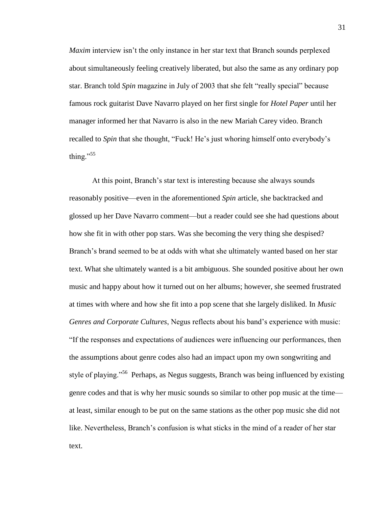*Maxim* interview isn't the only instance in her star text that Branch sounds perplexed about simultaneously feeling creatively liberated, but also the same as any ordinary pop star. Branch told *Spin* magazine in July of 2003 that she felt "really special" because famous rock guitarist Dave Navarro played on her first single for *Hotel Paper* until her manager informed her that Navarro is also in the new Mariah Carey video. Branch recalled to *Spin* that she thought, "Fuck! He's just whoring himself onto everybody's thing." $55$ 

At this point, Branch's star text is interesting because she always sounds reasonably positive—even in the aforementioned *Spin* article, she backtracked and glossed up her Dave Navarro comment—but a reader could see she had questions about how she fit in with other pop stars. Was she becoming the very thing she despised? Branch's brand seemed to be at odds with what she ultimately wanted based on her star text. What she ultimately wanted is a bit ambiguous. She sounded positive about her own music and happy about how it turned out on her albums; however, she seemed frustrated at times with where and how she fit into a pop scene that she largely disliked. In *Music Genres and Corporate Cultures*, Negus reflects about his band's experience with music: "If the responses and expectations of audiences were influencing our performances, then the assumptions about genre codes also had an impact upon my own songwriting and style of playing."<sup>56</sup> Perhaps, as Negus suggests, Branch was being influenced by existing genre codes and that is why her music sounds so similar to other pop music at the time at least, similar enough to be put on the same stations as the other pop music she did not like. Nevertheless, Branch's confusion is what sticks in the mind of a reader of her star text.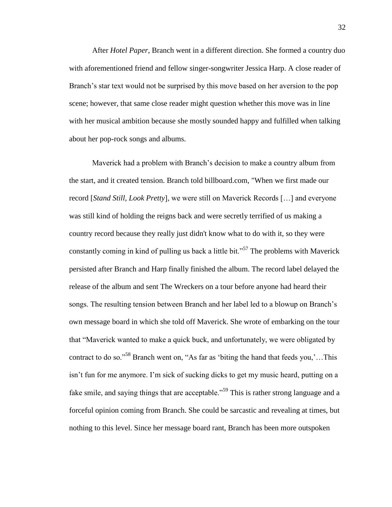After *Hotel Paper*, Branch went in a different direction. She formed a country duo with aforementioned friend and fellow singer-songwriter Jessica Harp. A close reader of Branch's star text would not be surprised by this move based on her aversion to the pop scene; however, that same close reader might question whether this move was in line with her musical ambition because she mostly sounded happy and fulfilled when talking about her pop-rock songs and albums.

Maverick had a problem with Branch's decision to make a country album from the start, and it created tension. Branch told billboard.com, "When we first made our record [*Stand Still, Look Pretty*], we were still on Maverick Records […] and everyone was still kind of holding the reigns back and were secretly terrified of us making a country record because they really just didn't know what to do with it, so they were constantly coming in kind of pulling us back a little bit."<sup>57</sup> The problems with Maverick persisted after Branch and Harp finally finished the album. The record label delayed the release of the album and sent The Wreckers on a tour before anyone had heard their songs. The resulting tension between Branch and her label led to a blowup on Branch's own message board in which she told off Maverick. She wrote of embarking on the tour that "Maverick wanted to make a quick buck, and unfortunately, we were obligated by contract to do so."<sup>58</sup> Branch went on, "As far as 'biting the hand that feeds you,'…This isn't fun for me anymore. I'm sick of sucking dicks to get my music heard, putting on a fake smile, and saying things that are acceptable."<sup>59</sup> This is rather strong language and a forceful opinion coming from Branch. She could be sarcastic and revealing at times, but nothing to this level. Since her message board rant, Branch has been more outspoken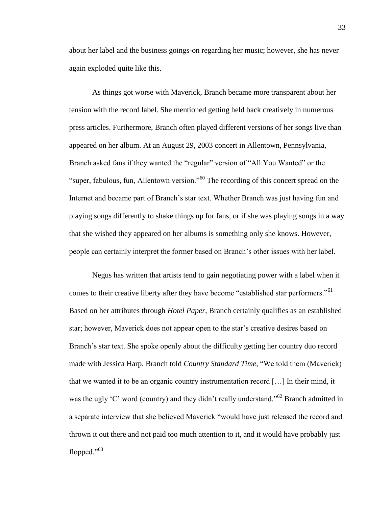about her label and the business goings-on regarding her music; however, she has never again exploded quite like this.

As things got worse with Maverick, Branch became more transparent about her tension with the record label. She mentioned getting held back creatively in numerous press articles. Furthermore, Branch often played different versions of her songs live than appeared on her album. At an August 29, 2003 concert in Allentown, Pennsylvania, Branch asked fans if they wanted the "regular" version of "All You Wanted" or the "super, fabulous, fun, Allentown version."<sup>60</sup> The recording of this concert spread on the Internet and became part of Branch's star text. Whether Branch was just having fun and playing songs differently to shake things up for fans, or if she was playing songs in a way that she wished they appeared on her albums is something only she knows. However, people can certainly interpret the former based on Branch's other issues with her label.

Negus has written that artists tend to gain negotiating power with a label when it comes to their creative liberty after they have become "established star performers."<sup>61</sup> Based on her attributes through *Hotel Paper,* Branch certainly qualifies as an established star; however, Maverick does not appear open to the star's creative desires based on Branch's star text. She spoke openly about the difficulty getting her country duo record made with Jessica Harp. Branch told *Country Standard Time*, "We told them (Maverick) that we wanted it to be an organic country instrumentation record […] In their mind, it was the ugly 'C' word (country) and they didn't really understand."<sup>62</sup> Branch admitted in a separate interview that she believed Maverick "would have just released the record and thrown it out there and not paid too much attention to it, and it would have probably just flopped."<sup>63</sup>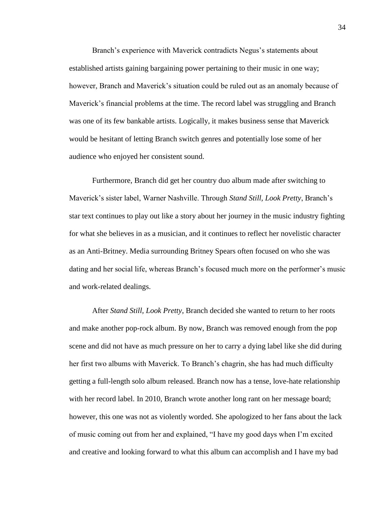Branch's experience with Maverick contradicts Negus's statements about established artists gaining bargaining power pertaining to their music in one way; however, Branch and Maverick's situation could be ruled out as an anomaly because of Maverick's financial problems at the time. The record label was struggling and Branch was one of its few bankable artists. Logically, it makes business sense that Maverick would be hesitant of letting Branch switch genres and potentially lose some of her audience who enjoyed her consistent sound.

Furthermore, Branch did get her country duo album made after switching to Maverick's sister label, Warner Nashville. Through *Stand Still, Look Pretty*, Branch's star text continues to play out like a story about her journey in the music industry fighting for what she believes in as a musician, and it continues to reflect her novelistic character as an Anti-Britney. Media surrounding Britney Spears often focused on who she was dating and her social life, whereas Branch's focused much more on the performer's music and work-related dealings.

After *Stand Still, Look Pretty*, Branch decided she wanted to return to her roots and make another pop-rock album. By now, Branch was removed enough from the pop scene and did not have as much pressure on her to carry a dying label like she did during her first two albums with Maverick. To Branch's chagrin, she has had much difficulty getting a full-length solo album released. Branch now has a tense, love-hate relationship with her record label. In 2010, Branch wrote another long rant on her message board; however, this one was not as violently worded. She apologized to her fans about the lack of music coming out from her and explained, "I have my good days when I'm excited and creative and looking forward to what this album can accomplish and I have my bad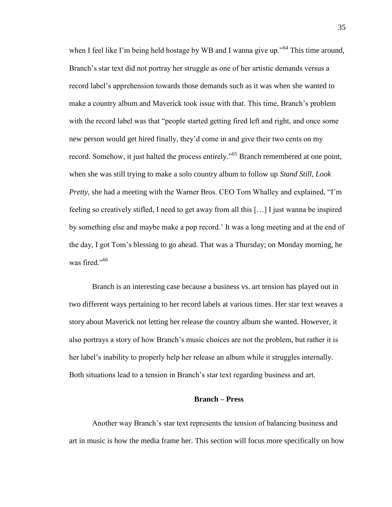when I feel like I'm being held hostage by WB and I wanna give up."<sup>64</sup> This time around, Branch's star text did not portray her struggle as one of her artistic demands versus a record label's apprehension towards those demands such as it was when she wanted to make a country album and Maverick took issue with that. This time, Branch's problem with the record label was that "people started getting fired left and right, and once some new person would get hired finally, they'd come in and give their two cents on my record. Somehow, it just halted the process entirely."<sup>65</sup> Branch remembered at one point, when she was still trying to make a solo country album to follow up *Stand Still, Look Pretty*, she had a meeting with the Warner Bros. CEO Tom Whalley and explained, "I'm feeling so creatively stifled, I need to get away from all this […] I just wanna be inspired by something else and maybe make a pop record.' It was a long meeting and at the end of the day, I got Tom's blessing to go ahead. That was a Thursday; on Monday morning, he was fired."<sup>66</sup>

Branch is an interesting case because a business vs. art tension has played out in two different ways pertaining to her record labels at various times. Her star text weaves a story about Maverick not letting her release the country album she wanted. However, it also portrays a story of how Branch's music choices are not the problem, but rather it is her label's inability to properly help her release an album while it struggles internally. Both situations lead to a tension in Branch's star text regarding business and art.

# **Branch – Press**

Another way Branch's star text represents the tension of balancing business and art in music is how the media frame her. This section will focus more specifically on how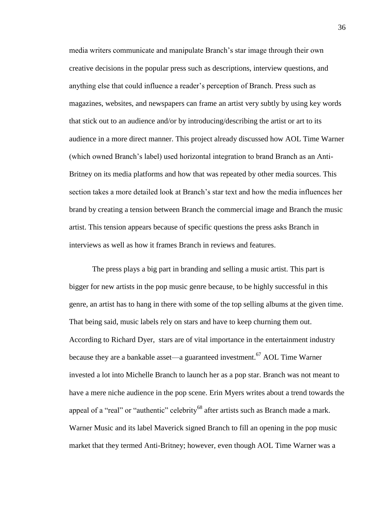media writers communicate and manipulate Branch's star image through their own creative decisions in the popular press such as descriptions, interview questions, and anything else that could influence a reader's perception of Branch. Press such as magazines, websites, and newspapers can frame an artist very subtly by using key words that stick out to an audience and/or by introducing/describing the artist or art to its audience in a more direct manner. This project already discussed how AOL Time Warner (which owned Branch's label) used horizontal integration to brand Branch as an Anti-Britney on its media platforms and how that was repeated by other media sources. This section takes a more detailed look at Branch's star text and how the media influences her brand by creating a tension between Branch the commercial image and Branch the music artist. This tension appears because of specific questions the press asks Branch in interviews as well as how it frames Branch in reviews and features.

The press plays a big part in branding and selling a music artist. This part is bigger for new artists in the pop music genre because, to be highly successful in this genre, an artist has to hang in there with some of the top selling albums at the given time. That being said, music labels rely on stars and have to keep churning them out. According to Richard Dyer, stars are of vital importance in the entertainment industry because they are a bankable asset—a guaranteed investment.<sup>67</sup> AOL Time Warner invested a lot into Michelle Branch to launch her as a pop star. Branch was not meant to have a mere niche audience in the pop scene. Erin Myers writes about a trend towards the appeal of a "real" or "authentic" celebrity<sup>68</sup> after artists such as Branch made a mark. Warner Music and its label Maverick signed Branch to fill an opening in the pop music market that they termed Anti-Britney; however, even though AOL Time Warner was a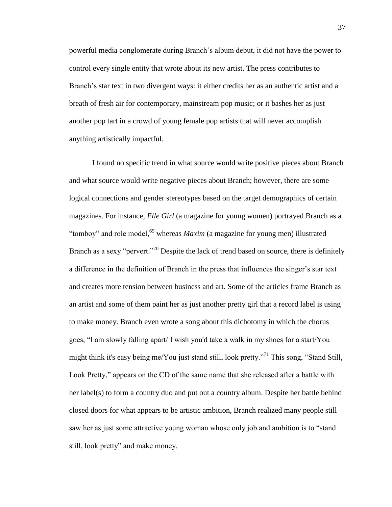powerful media conglomerate during Branch's album debut, it did not have the power to control every single entity that wrote about its new artist. The press contributes to Branch's star text in two divergent ways: it either credits her as an authentic artist and a breath of fresh air for contemporary, mainstream pop music; or it bashes her as just another pop tart in a crowd of young female pop artists that will never accomplish anything artistically impactful.

I found no specific trend in what source would write positive pieces about Branch and what source would write negative pieces about Branch; however, there are some logical connections and gender stereotypes based on the target demographics of certain magazines. For instance, *Elle Girl* (a magazine for young women) portrayed Branch as a "tomboy" and role model,<sup>69</sup> whereas *Maxim* (a magazine for young men) illustrated Branch as a sexy "pervert."<sup>70</sup> Despite the lack of trend based on source, there is definitely a difference in the definition of Branch in the press that influences the singer's star text and creates more tension between business and art. Some of the articles frame Branch as an artist and some of them paint her as just another pretty girl that a record label is using to make money. Branch even wrote a song about this dichotomy in which the chorus goes, "I am slowly falling apart/ I wish you'd take a walk in my shoes for a start/You might think it's easy being me/You just stand still, look pretty."<sup>71</sup> This song, "Stand Still, Look Pretty," appears on the CD of the same name that she released after a battle with her label(s) to form a country duo and put out a country album. Despite her battle behind closed doors for what appears to be artistic ambition, Branch realized many people still saw her as just some attractive young woman whose only job and ambition is to "stand still, look pretty" and make money.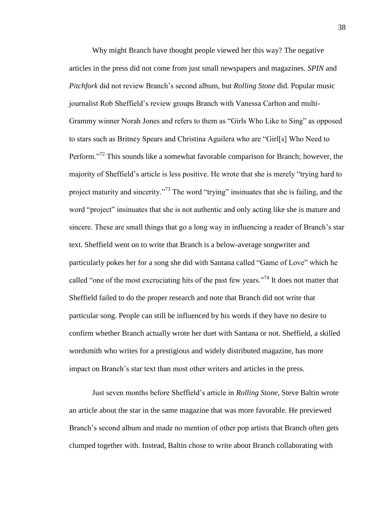Why might Branch have thought people viewed her this way? The negative articles in the press did not come from just small newspapers and magazines. *SPIN* and *Pitchfork* did not review Branch's second album, but *Rolling Stone* did. Popular music journalist Rob Sheffield's review groups Branch with Vanessa Carlton and multi-Grammy winner Norah Jones and refers to them as "Girls Who Like to Sing" as opposed to stars such as Britney Spears and Christina Aguilera who are "Girl[s] Who Need to Perform."<sup>72</sup> This sounds like a somewhat favorable comparison for Branch; however, the majority of Sheffield's article is less positive. He wrote that she is merely "trying hard to project maturity and sincerity."<sup>73</sup> The word "trying" insinuates that she is failing, and the word "project" insinuates that she is not authentic and only acting like she is mature and sincere. These are small things that go a long way in influencing a reader of Branch's star text. Sheffield went on to write that Branch is a below-average songwriter and particularly pokes her for a song she did with Santana called "Game of Love" which he called "one of the most excruciating hits of the past few years."<sup>74</sup> It does not matter that Sheffield failed to do the proper research and note that Branch did not write that particular song. People can still be influenced by his words if they have no desire to confirm whether Branch actually wrote her duet with Santana or not. Sheffield, a skilled wordsmith who writes for a prestigious and widely distributed magazine, has more impact on Branch's star text than most other writers and articles in the press.

Just seven months before Sheffield's article in *Rolling Stone*, Steve Baltin wrote an article about the star in the same magazine that was more favorable. He previewed Branch's second album and made no mention of other pop artists that Branch often gets clumped together with. Instead, Baltin chose to write about Branch collaborating with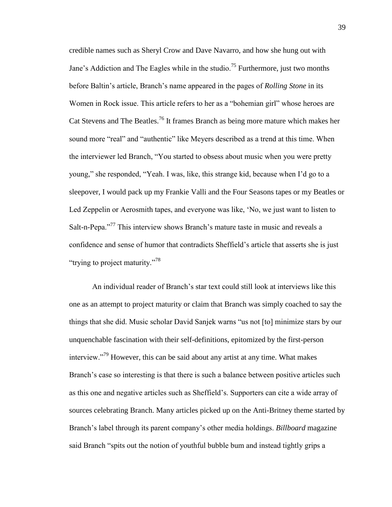credible names such as Sheryl Crow and Dave Navarro, and how she hung out with Jane's Addiction and The Eagles while in the studio.<sup>75</sup> Furthermore, just two months before Baltin's article, Branch's name appeared in the pages of *Rolling Stone* in its Women in Rock issue. This article refers to her as a "bohemian girl" whose heroes are Cat Stevens and The Beatles.<sup>76</sup> It frames Branch as being more mature which makes her sound more "real" and "authentic" like Meyers described as a trend at this time. When the interviewer led Branch, "You started to obsess about music when you were pretty young," she responded, "Yeah. I was, like, this strange kid, because when I'd go to a sleepover, I would pack up my Frankie Valli and the Four Seasons tapes or my Beatles or Led Zeppelin or Aerosmith tapes, and everyone was like, 'No, we just want to listen to Salt-n-Pepa."<sup>77</sup> This interview shows Branch's mature taste in music and reveals a confidence and sense of humor that contradicts Sheffield's article that asserts she is just "trying to project maturity."<sup>78</sup>

An individual reader of Branch's star text could still look at interviews like this one as an attempt to project maturity or claim that Branch was simply coached to say the things that she did. Music scholar David Sanjek warns "us not [to] minimize stars by our unquenchable fascination with their self-definitions, epitomized by the first-person interview."<sup>79</sup> However, this can be said about any artist at any time. What makes Branch's case so interesting is that there is such a balance between positive articles such as this one and negative articles such as Sheffield's. Supporters can cite a wide array of sources celebrating Branch. Many articles picked up on the Anti-Britney theme started by Branch's label through its parent company's other media holdings. *Billboard* magazine said Branch "spits out the notion of youthful bubble bum and instead tightly grips a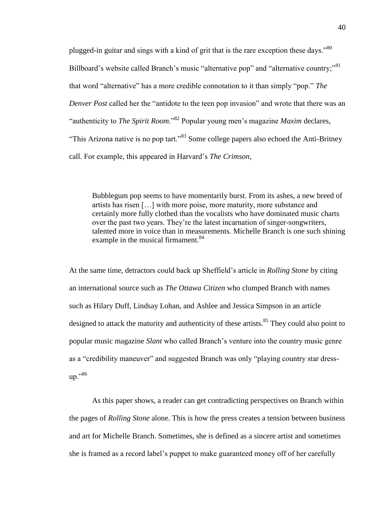plugged-in guitar and sings with a kind of grit that is the rare exception these days."<sup>80</sup> Billboard's website called Branch's music "alternative pop" and "alternative country;"81 that word "alternative" has a more credible connotation to it than simply "pop." *The Denver Post* called her the "antidote to the teen pop invasion" and wrote that there was an "authenticity to *The Spirit Room*."<sup>82</sup> Popular young men's magazine *Maxim* declares, "This Arizona native is no pop tart."<sup>83</sup> Some college papers also echoed the Anti-Britney" call. For example, this appeared in Harvard's *The Crimson*,

Bubblegum pop seems to have momentarily burst. From its ashes, a new breed of artists has risen […] with more poise, more maturity, more substance and certainly more fully clothed than the vocalists who have dominated music charts over the past two years. They're the latest incarnation of singer-songwriters, talented more in voice than in measurements. Michelle Branch is one such shining example in the musical firmament.<sup>84</sup>

At the same time, detractors could back up Sheffield's article in *Rolling Stone* by citing an international source such as *The Ottawa Citizen* who clumped Branch with names such as Hilary Duff, Lindsay Lohan, and Ashlee and Jessica Simpson in an article designed to attack the maturity and authenticity of these artists.<sup>85</sup> They could also point to popular music magazine *Slant* who called Branch's venture into the country music genre as a "credibility maneuver" and suggested Branch was only "playing country star dressup."86

As this paper shows, a reader can get contradicting perspectives on Branch within the pages of *Rolling Stone* alone. This is how the press creates a tension between business and art for Michelle Branch. Sometimes, she is defined as a sincere artist and sometimes she is framed as a record label's puppet to make guaranteed money off of her carefully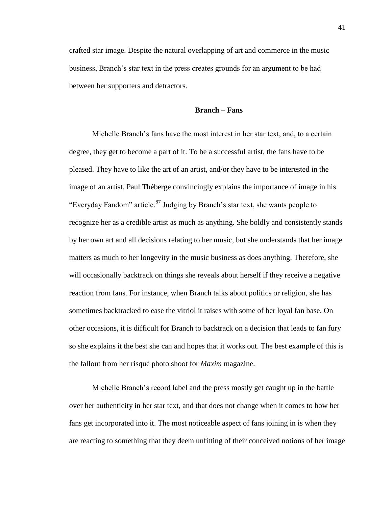crafted star image. Despite the natural overlapping of art and commerce in the music business, Branch's star text in the press creates grounds for an argument to be had between her supporters and detractors.

# **Branch – Fans**

Michelle Branch's fans have the most interest in her star text, and, to a certain degree, they get to become a part of it. To be a successful artist, the fans have to be pleased. They have to like the art of an artist, and/or they have to be interested in the image of an artist. Paul Théberge convincingly explains the importance of image in his "Everyday Fandom" article.<sup>87</sup> Judging by Branch's star text, she wants people to recognize her as a credible artist as much as anything. She boldly and consistently stands by her own art and all decisions relating to her music, but she understands that her image matters as much to her longevity in the music business as does anything. Therefore, she will occasionally backtrack on things she reveals about herself if they receive a negative reaction from fans. For instance, when Branch talks about politics or religion, she has sometimes backtracked to ease the vitriol it raises with some of her loyal fan base. On other occasions, it is difficult for Branch to backtrack on a decision that leads to fan fury so she explains it the best she can and hopes that it works out. The best example of this is the fallout from her risqué photo shoot for *Maxim* magazine.

Michelle Branch's record label and the press mostly get caught up in the battle over her authenticity in her star text, and that does not change when it comes to how her fans get incorporated into it. The most noticeable aspect of fans joining in is when they are reacting to something that they deem unfitting of their conceived notions of her image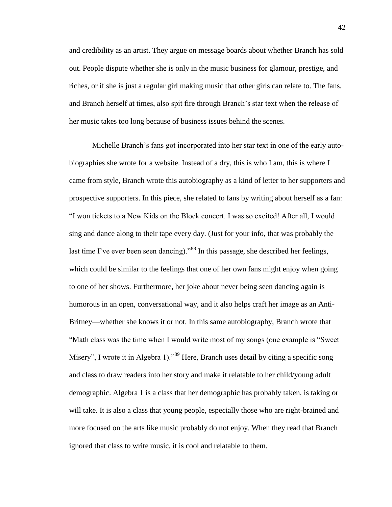and credibility as an artist. They argue on message boards about whether Branch has sold out. People dispute whether she is only in the music business for glamour, prestige, and riches, or if she is just a regular girl making music that other girls can relate to. The fans, and Branch herself at times, also spit fire through Branch's star text when the release of her music takes too long because of business issues behind the scenes.

Michelle Branch's fans got incorporated into her star text in one of the early autobiographies she wrote for a website. Instead of a dry, this is who I am, this is where I came from style, Branch wrote this autobiography as a kind of letter to her supporters and prospective supporters. In this piece, she related to fans by writing about herself as a fan: "I won tickets to a New Kids on the Block concert. I was so excited! After all, I would sing and dance along to their tape every day. (Just for your info, that was probably the last time I've ever been seen dancing)."<sup>88</sup> In this passage, she described her feelings, which could be similar to the feelings that one of her own fans might enjoy when going to one of her shows. Furthermore, her joke about never being seen dancing again is humorous in an open, conversational way, and it also helps craft her image as an Anti-Britney—whether she knows it or not. In this same autobiography, Branch wrote that "Math class was the time when I would write most of my songs (one example is "Sweet Misery", I wrote it in Algebra 1).<sup>89</sup> Here, Branch uses detail by citing a specific song and class to draw readers into her story and make it relatable to her child/young adult demographic. Algebra 1 is a class that her demographic has probably taken, is taking or will take. It is also a class that young people, especially those who are right-brained and more focused on the arts like music probably do not enjoy. When they read that Branch ignored that class to write music, it is cool and relatable to them.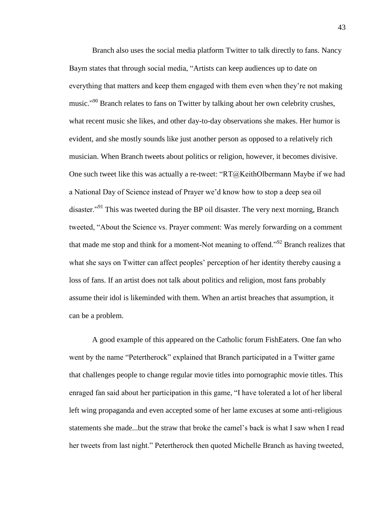Branch also uses the social media platform Twitter to talk directly to fans. Nancy Baym states that through social media, "Artists can keep audiences up to date on everything that matters and keep them engaged with them even when they're not making music."<sup>90</sup> Branch relates to fans on Twitter by talking about her own celebrity crushes, what recent music she likes, and other day-to-day observations she makes. Her humor is evident, and she mostly sounds like just another person as opposed to a relatively rich musician. When Branch tweets about politics or religion, however, it becomes divisive. One such tweet like this was actually a re-tweet: "RT@KeithOlbermann Maybe if we had a National Day of Science instead of Prayer we'd know how to stop a deep sea oil disaster."<sup>91</sup> This was tweeted during the BP oil disaster. The very next morning, Branch tweeted, "About the Science vs. Prayer comment: Was merely forwarding on a comment that made me stop and think for a moment-Not meaning to offend."<sup>92</sup> Branch realizes that what she says on Twitter can affect peoples' perception of her identity thereby causing a loss of fans. If an artist does not talk about politics and religion, most fans probably assume their idol is likeminded with them. When an artist breaches that assumption, it can be a problem.

A good example of this appeared on the Catholic forum FishEaters. One fan who went by the name "Petertherock" explained that Branch participated in a Twitter game that challenges people to change regular movie titles into pornographic movie titles. This enraged fan said about her participation in this game, "I have tolerated a lot of her liberal left wing propaganda and even accepted some of her lame excuses at some anti-religious statements she made...but the straw that broke the camel's back is what I saw when I read her tweets from last night." Petertherock then quoted Michelle Branch as having tweeted,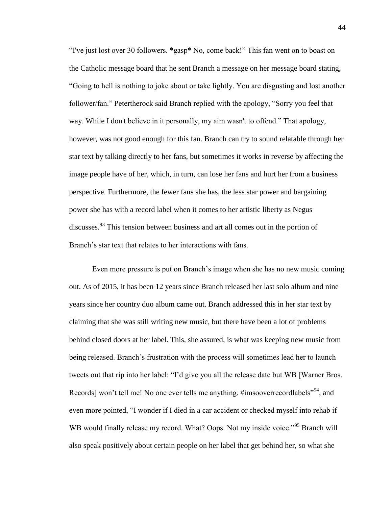"I've just lost over 30 followers. \*gasp\* No, come back!" This fan went on to boast on the Catholic message board that he sent Branch a message on her message board stating, "Going to hell is nothing to joke about or take lightly. You are disgusting and lost another follower/fan." Petertherock said Branch replied with the apology, "Sorry you feel that way. While I don't believe in it personally, my aim wasn't to offend." That apology, however, was not good enough for this fan. Branch can try to sound relatable through her star text by talking directly to her fans, but sometimes it works in reverse by affecting the image people have of her, which, in turn, can lose her fans and hurt her from a business perspective. Furthermore, the fewer fans she has, the less star power and bargaining power she has with a record label when it comes to her artistic liberty as Negus discusses. <sup>93</sup> This tension between business and art all comes out in the portion of Branch's star text that relates to her interactions with fans.

Even more pressure is put on Branch's image when she has no new music coming out. As of 2015, it has been 12 years since Branch released her last solo album and nine years since her country duo album came out. Branch addressed this in her star text by claiming that she was still writing new music, but there have been a lot of problems behind closed doors at her label. This, she assured, is what was keeping new music from being released. Branch's frustration with the process will sometimes lead her to launch tweets out that rip into her label: "I'd give you all the release date but WB [Warner Bros. Records] won't tell me! No one ever tells me anything. #imsooverrecordlabels"<sup>94</sup>, and even more pointed, "I wonder if I died in a car accident or checked myself into rehab if WB would finally release my record. What? Oops. Not my inside voice.<sup>"95</sup> Branch will also speak positively about certain people on her label that get behind her, so what she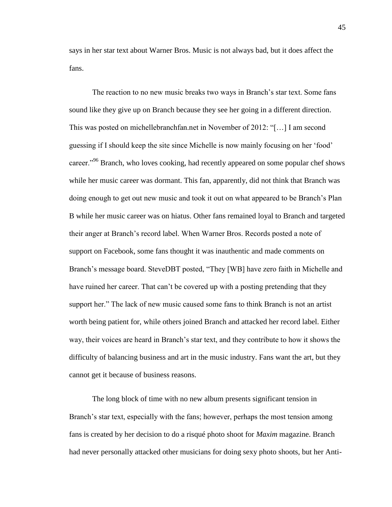says in her star text about Warner Bros. Music is not always bad, but it does affect the fans.

The reaction to no new music breaks two ways in Branch's star text. Some fans sound like they give up on Branch because they see her going in a different direction. This was posted on michellebranchfan.net in November of 2012: "[…] I am second guessing if I should keep the site since Michelle is now mainly focusing on her 'food' career."<sup>96</sup> Branch, who loves cooking, had recently appeared on some popular chef shows while her music career was dormant. This fan, apparently, did not think that Branch was doing enough to get out new music and took it out on what appeared to be Branch's Plan B while her music career was on hiatus. Other fans remained loyal to Branch and targeted their anger at Branch's record label. When Warner Bros. Records posted a note of support on Facebook, some fans thought it was inauthentic and made comments on Branch's message board. SteveDBT posted, "They [WB] have zero faith in Michelle and have ruined her career. That can't be covered up with a posting pretending that they support her." The lack of new music caused some fans to think Branch is not an artist worth being patient for, while others joined Branch and attacked her record label. Either way, their voices are heard in Branch's star text, and they contribute to how it shows the difficulty of balancing business and art in the music industry. Fans want the art, but they cannot get it because of business reasons.

The long block of time with no new album presents significant tension in Branch's star text, especially with the fans; however, perhaps the most tension among fans is created by her decision to do a risqué photo shoot for *Maxim* magazine. Branch had never personally attacked other musicians for doing sexy photo shoots, but her Anti-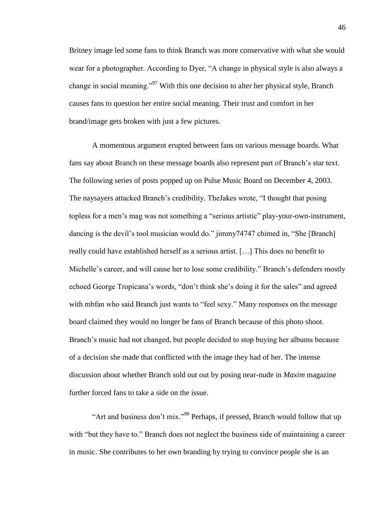Britney image led some fans to think Branch was more conservative with what she would wear for a photographer. According to Dyer, "A change in physical style is also always a change in social meaning."<sup>97</sup> With this one decision to alter her physical style, Branch causes fans to question her entire social meaning. Their trust and comfort in her brand/image gets broken with just a few pictures.

A momentous argument erupted between fans on various message boards. What fans say about Branch on these message boards also represent part of Branch's star text. The following series of posts popped up on Pulse Music Board on December 4, 2003. The naysayers attacked Branch's credibility. TheJakes wrote, "I thought that posing topless for a men's mag was not something a "serious artistic" play-your-own-instrument, dancing is the devil's tool musician would do." jimmy74747 chimed in, "She [Branch] really could have established herself as a serious artist. […] This does no benefit to Michelle's career, and will cause her to lose some credibility." Branch's defenders mostly echoed George Tropicana's words, "don't think she's doing it for the sales" and agreed with mbfan who said Branch just wants to "feel sexy." Many responses on the message board claimed they would no longer be fans of Branch because of this photo shoot. Branch's music had not changed, but people decided to stop buying her albums because of a decision she made that conflicted with the image they had of her. The intense discussion about whether Branch sold out out by posing near-nude in *Maxim* magazine further forced fans to take a side on the issue.

"Art and business don't mix."<sup>98</sup> Perhaps, if pressed, Branch would follow that up with "but they have to." Branch does not neglect the business side of maintaining a career in music. She contributes to her own branding by trying to convince people she is an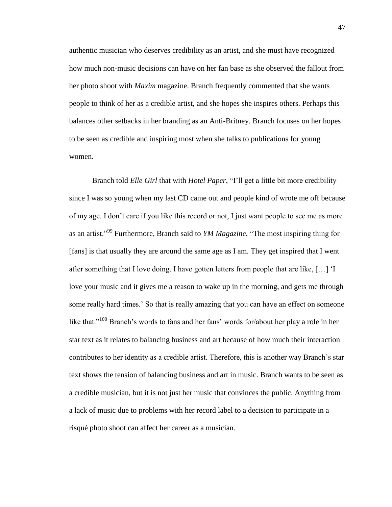authentic musician who deserves credibility as an artist, and she must have recognized how much non-music decisions can have on her fan base as she observed the fallout from her photo shoot with *Maxim* magazine. Branch frequently commented that she wants people to think of her as a credible artist, and she hopes she inspires others. Perhaps this balances other setbacks in her branding as an Anti-Britney. Branch focuses on her hopes to be seen as credible and inspiring most when she talks to publications for young women.

Branch told *Elle Girl* that with *Hotel Paper*, "I'll get a little bit more credibility since I was so young when my last CD came out and people kind of wrote me off because of my age. I don't care if you like this record or not, I just want people to see me as more as an artist."<sup>99</sup> Furthermore, Branch said to *YM Magazine*, "The most inspiring thing for [fans] is that usually they are around the same age as I am. They get inspired that I went after something that I love doing. I have gotten letters from people that are like, […] 'I love your music and it gives me a reason to wake up in the morning, and gets me through some really hard times.' So that is really amazing that you can have an effect on someone like that."<sup>100</sup> Branch's words to fans and her fans' words for/about her play a role in her star text as it relates to balancing business and art because of how much their interaction contributes to her identity as a credible artist. Therefore, this is another way Branch's star text shows the tension of balancing business and art in music. Branch wants to be seen as a credible musician, but it is not just her music that convinces the public. Anything from a lack of music due to problems with her record label to a decision to participate in a risqué photo shoot can affect her career as a musician.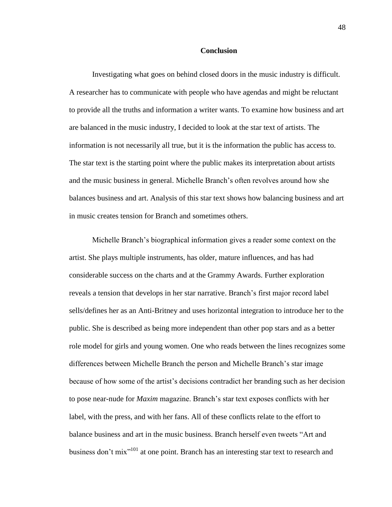#### **Conclusion**

Investigating what goes on behind closed doors in the music industry is difficult. A researcher has to communicate with people who have agendas and might be reluctant to provide all the truths and information a writer wants. To examine how business and art are balanced in the music industry, I decided to look at the star text of artists. The information is not necessarily all true, but it is the information the public has access to. The star text is the starting point where the public makes its interpretation about artists and the music business in general. Michelle Branch's often revolves around how she balances business and art. Analysis of this star text shows how balancing business and art in music creates tension for Branch and sometimes others.

Michelle Branch's biographical information gives a reader some context on the artist. She plays multiple instruments, has older, mature influences, and has had considerable success on the charts and at the Grammy Awards. Further exploration reveals a tension that develops in her star narrative. Branch's first major record label sells/defines her as an Anti-Britney and uses horizontal integration to introduce her to the public. She is described as being more independent than other pop stars and as a better role model for girls and young women. One who reads between the lines recognizes some differences between Michelle Branch the person and Michelle Branch's star image because of how some of the artist's decisions contradict her branding such as her decision to pose near-nude for *Maxim* magazine. Branch's star text exposes conflicts with her label, with the press, and with her fans. All of these conflicts relate to the effort to balance business and art in the music business. Branch herself even tweets "Art and business don't mix<sup>"101</sup> at one point. Branch has an interesting star text to research and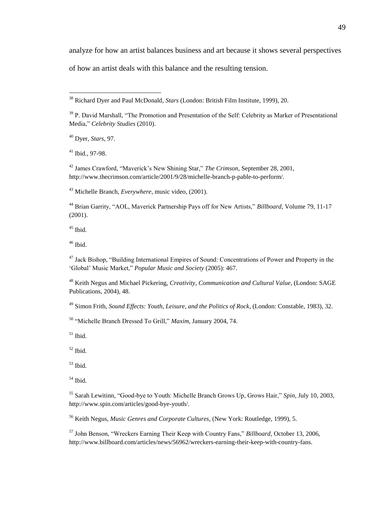analyze for how an artist balances business and art because it shows several perspectives of how an artist deals with this balance and the resulting tension.

Richard Dyer and Paul McDonald, *Stars* (London: British Film Institute, 1999), 20.

Dyer, *Stars*, 97.

Ibid., 97-98.

 $\overline{a}$ 

 James Crawford, "Maverick's New Shining Star," *The Crimson*, September 28, 2001, http://www.thecrimson.com/article/2001/9/28/michelle-branch-p-pable-to-perform/.

Michelle Branch, *Everywhere*, music video, (2001).

 Brian Garrity, "AOL, Maverick Partnership Pays off for New Artists," *Billboard*, Volume 79, 11-17 (2001).

Ibid.

Ibid.

<sup>47</sup> Jack Bishop, "Building International Empires of Sound: Concentrations of Power and Property in the 'Global' Music Market," *Popular Music and Society* (2005): 467.

 Keith Negus and Michael Pickering, *Creativity, Communication and Cultural Value*, (London: SAGE Publications, 2004), 48.

Simon Frith, *Sound Effects: Youth, Leisure, and the Politics of Rock*, (London: Constable, 1983), 32.

"Michelle Branch Dressed To Grill," *Maxim*, January 2004, 74.

Ibid.

Ibid.

Ibid.

Ibid.

 Sarah Lewitinn, "Good-bye to Youth: Michelle Branch Grows Up, Grows Hair," *Spin*, July 10, 2003, http://www.spin.com/articles/good-bye-youth/.

Keith Negus, *Music Genres and Corporate Cultures*, (New York: Routledge, 1999), 5.

 John Benson, "Wreckers Earning Their Keep with Country Fans," *Billboard*, October 13, 2006, http://www.billboard.com/articles/news/56962/wreckers-earning-their-keep-with-country-fans.

<sup>&</sup>lt;sup>39</sup> P. David Marshall, "The Promotion and Presentation of the Self: Celebrity as Marker of Presentational Media," *Celebrity Studies* (2010).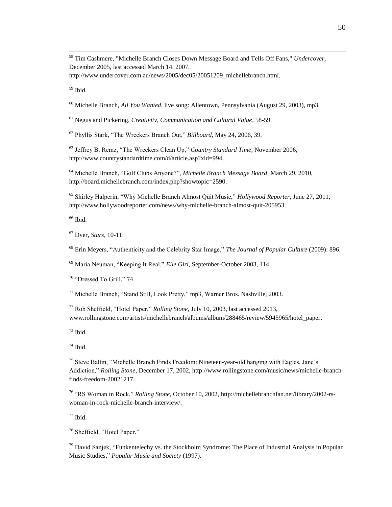Tim Cashmere, "Michelle Branch Closes Down Message Board and Tells Off Fans," *Undercover*, December 2005, last accessed March 14, 2007, http://www.undercover.com.au/news/2005/dec05/20051209\_michellebranch.html.

Ibid.

 $\overline{a}$ 

Michelle Branch, *All You Wanted*, live song: Allentown, Pennsylvania (August 29, 2003), mp3.

Negus and Pickering, *Creativity, Communication and Cultural Value*, 58-59.

Phyllis Stark, "The Wreckers Branch Out," *Billboard*, May 24, 2006, 39.

 Jeffrey B. Remz, "The Wreckers Clean Up," *Country Standard Time*, November 2006, http://www.countrystandardtime.com/d/article.asp?xid=994.

 Michelle Branch, "Golf Clubs Anyone?", *Michelle Branch Message Board*, March 29, 2010, http://board.michellebranch.com/index.php?showtopic=2590.

 Shirley Halperin, "Why Michelle Branch Almost Quit Music," *Hollywood Reporter*, June 27, 2011, http://www.hollywoodreporter.com/news/why-michelle-branch-almost-quit-205953.

Ibid.

Dyer, *Stars*, 10-11.

Erin Meyers, "Authenticity and the Celebrity Star Image," *The Journal of Popular Culture* (2009): 896.

Maria Neuman, "Keeping It Real," *Elle Girl*, September-October 2003, 114.

"Dressed To Grill," 74.

Michelle Branch, "Stand Still, Look Pretty," mp3, Warner Bros, Nashville, 2003.

 Rob Sheffield, "Hotel Paper," *Rolling Stone*, July 10, 2003, last accessed 2013, www.rollingstone.com/artists/michellebranch/albums/album/288465/review/5945965/hotel\_paper.

Ibid.

Ibid.

 $<sup>75</sup>$  Steve Baltin, "Michelle Branch Finds Freedom: Nineteen-year-old hanging with Eagles, Jane's</sup> Addiction," *Rolling Stone*, December 17, 2002, http://www.rollingstone.com/music/news/michelle-branchfinds-freedom-20021217.

 "RS Woman in Rock," *Rolling Stone*, October 10, 2002, http://michellebranchfan.net/library/2002-rswoman-in-rock-michelle-branch-interview/.

Ibid.

Sheffield, "Hotel Paper."

<sup>79</sup> David Sanjek, "Funkentelechy vs. the Stockholm Syndrome: The Place of Industrial Analysis in Popular Music Studies," *Popular Music and Society* (1997).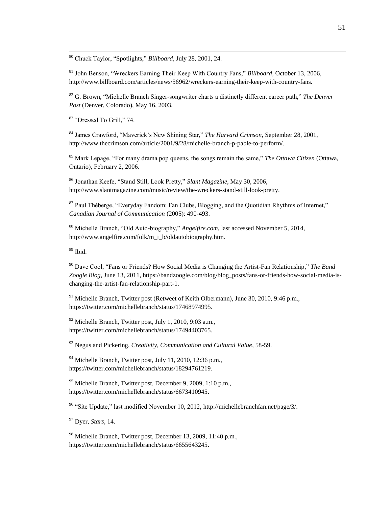<sup>80</sup> Chuck Taylor, "Spotlights," *Billboard*, July 28, 2001, 24.

<sup>81</sup> John Benson, "Wreckers Earning Their Keep With Country Fans," *Billboard*, October 13, 2006, http://www.billboard.com/articles/news/56962/wreckers-earning-their-keep-with-country-fans.

<sup>82</sup> G. Brown, "Michelle Branch Singer-songwriter charts a distinctly different career path," *The Denver Post* (Denver, Colorado), May 16, 2003.

<sup>83</sup> "Dressed To Grill," 74.

 $\overline{a}$ 

<sup>84</sup> James Crawford, "Maverick's New Shining Star," *The Harvard Crimson*, September 28, 2001, http://www.thecrimson.com/article/2001/9/28/michelle-branch-p-pable-to-perform/.

<sup>85</sup> Mark Lepage, "For many drama pop queens, the songs remain the same," *The Ottawa Citizen* (Ottawa, Ontario), February 2, 2006.

<sup>86</sup> Jonathan Keefe, "Stand Still, Look Pretty," *Slant Magazine*, May 30, 2006, http://www.slantmagazine.com/music/review/the-wreckers-stand-still-look-pretty.

 $87$  Paul Théberge, "Everyday Fandom: Fan Clubs, Blogging, and the Quotidian Rhythms of Internet," *Canadian Journal of Communication* (2005): 490-493.

<sup>88</sup> Michelle Branch, "Old Auto-biography," *Angelfire.com*, last accessed November 5, 2014, http://www.angelfire.com/folk/m\_j\_b/oldautobiography.htm.

 $89$  Ibid.

<sup>90</sup> Dave Cool, "Fans or Friends? How Social Media is Changing the Artist-Fan Relationship," *The Band Zoogle Blog*, June 13, 2011, https://bandzoogle.com/blog/blog\_posts/fans-or-friends-how-social-media-ischanging-the-artist-fan-relationship-part-1.

 $91$  Michelle Branch, Twitter post (Retweet of Keith Olbermann), June 30, 2010, 9:46 p.m., https://twitter.com/michellebranch/status/17468974995.

 $92$  Michelle Branch, Twitter post, July 1, 2010, 9:03 a.m., https://twitter.com/michellebranch/status/17494403765.

<sup>93</sup> Negus and Pickering, *Creativity, Communication and Cultural Value*, 58-59.

 $94$  Michelle Branch, Twitter post, July 11, 2010, 12:36 p.m., https://twitter.com/michellebranch/status/18294761219.

<sup>95</sup> Michelle Branch, Twitter post, December 9, 2009, 1:10 p.m., https://twitter.com/michellebranch/status/6673410945.

 $96$  "Site Update." last modified November 10, 2012, http://michellebranchfan.net/page/3/.

<sup>97</sup> Dyer, *Stars*, 14.

<sup>98</sup> Michelle Branch, Twitter post, December 13, 2009, 11:40 p.m., https://twitter.com/michellebranch/status/6655643245.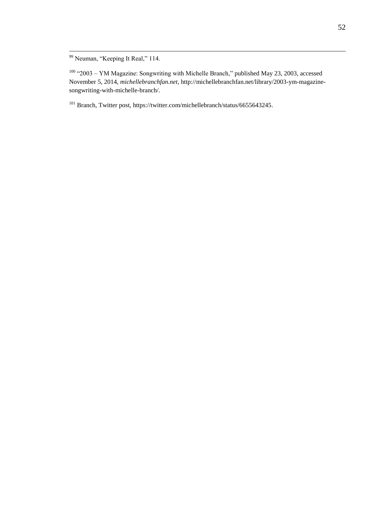$\overline{a}$ 

<sup>100</sup> "2003 – YM Magazine: Songwriting with Michelle Branch," published May 23, 2003, accessed November 5, 2014, *michellebranchfan.net*, http://michellebranchfan.net/library/2003-ym-magazinesongwriting-with-michelle-branch/.

<sup>101</sup> Branch, Twitter post, https://twitter.com/michellebranch/status/6655643245.

<sup>&</sup>lt;sup>99</sup> Neuman, "Keeping It Real," 114.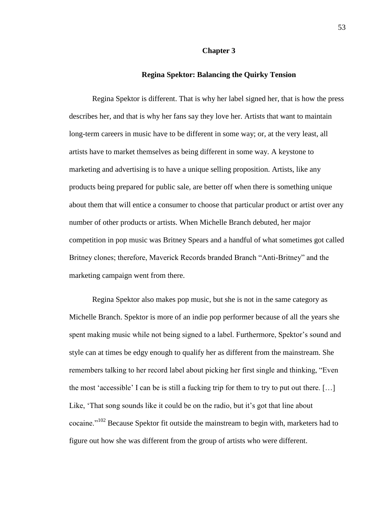### **Chapter 3**

### **Regina Spektor: Balancing the Quirky Tension**

Regina Spektor is different. That is why her label signed her, that is how the press describes her, and that is why her fans say they love her. Artists that want to maintain long-term careers in music have to be different in some way; or, at the very least, all artists have to market themselves as being different in some way. A keystone to marketing and advertising is to have a unique selling proposition. Artists, like any products being prepared for public sale, are better off when there is something unique about them that will entice a consumer to choose that particular product or artist over any number of other products or artists. When Michelle Branch debuted, her major competition in pop music was Britney Spears and a handful of what sometimes got called Britney clones; therefore, Maverick Records branded Branch "Anti-Britney" and the marketing campaign went from there.

Regina Spektor also makes pop music, but she is not in the same category as Michelle Branch. Spektor is more of an indie pop performer because of all the years she spent making music while not being signed to a label. Furthermore, Spektor's sound and style can at times be edgy enough to qualify her as different from the mainstream. She remembers talking to her record label about picking her first single and thinking, "Even the most 'accessible' I can be is still a fucking trip for them to try to put out there.  $[\dots]$ Like, 'That song sounds like it could be on the radio, but it's got that line about cocaine."<sup>102</sup> Because Spektor fit outside the mainstream to begin with, marketers had to figure out how she was different from the group of artists who were different.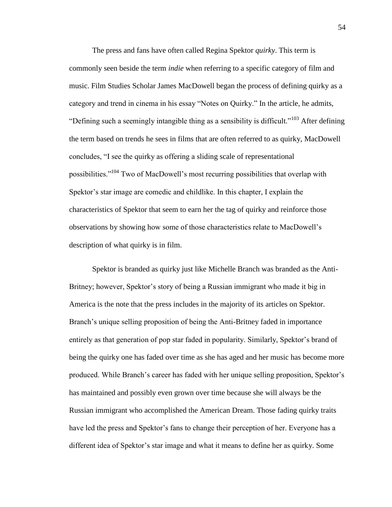The press and fans have often called Regina Spektor *quirky*. This term is commonly seen beside the term *indie* when referring to a specific category of film and music. Film Studies Scholar James MacDowell began the process of defining quirky as a category and trend in cinema in his essay "Notes on Quirky." In the article, he admits, "Defining such a seemingly intangible thing as a sensibility is difficult."<sup>103</sup> After defining the term based on trends he sees in films that are often referred to as quirky, MacDowell concludes, "I see the quirky as offering a sliding scale of representational possibilities."<sup>104</sup> Two of MacDowell's most recurring possibilities that overlap with Spektor's star image are comedic and childlike. In this chapter, I explain the characteristics of Spektor that seem to earn her the tag of quirky and reinforce those observations by showing how some of those characteristics relate to MacDowell's description of what quirky is in film.

Spektor is branded as quirky just like Michelle Branch was branded as the Anti-Britney; however, Spektor's story of being a Russian immigrant who made it big in America is the note that the press includes in the majority of its articles on Spektor. Branch's unique selling proposition of being the Anti-Britney faded in importance entirely as that generation of pop star faded in popularity. Similarly, Spektor's brand of being the quirky one has faded over time as she has aged and her music has become more produced. While Branch's career has faded with her unique selling proposition, Spektor's has maintained and possibly even grown over time because she will always be the Russian immigrant who accomplished the American Dream. Those fading quirky traits have led the press and Spektor's fans to change their perception of her. Everyone has a different idea of Spektor's star image and what it means to define her as quirky. Some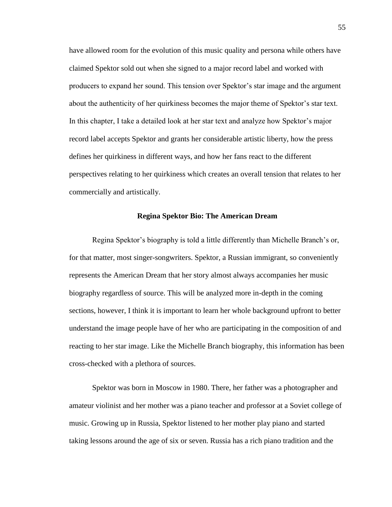have allowed room for the evolution of this music quality and persona while others have claimed Spektor sold out when she signed to a major record label and worked with producers to expand her sound. This tension over Spektor's star image and the argument about the authenticity of her quirkiness becomes the major theme of Spektor's star text. In this chapter, I take a detailed look at her star text and analyze how Spektor's major record label accepts Spektor and grants her considerable artistic liberty, how the press defines her quirkiness in different ways, and how her fans react to the different perspectives relating to her quirkiness which creates an overall tension that relates to her commercially and artistically.

## **Regina Spektor Bio: The American Dream**

Regina Spektor's biography is told a little differently than Michelle Branch's or, for that matter, most singer-songwriters. Spektor, a Russian immigrant, so conveniently represents the American Dream that her story almost always accompanies her music biography regardless of source. This will be analyzed more in-depth in the coming sections, however, I think it is important to learn her whole background upfront to better understand the image people have of her who are participating in the composition of and reacting to her star image. Like the Michelle Branch biography, this information has been cross-checked with a plethora of sources.

Spektor was born in Moscow in 1980. There, her father was a photographer and amateur violinist and her mother was a piano teacher and professor at a Soviet college of music. Growing up in Russia, Spektor listened to her mother play piano and started taking lessons around the age of six or seven. Russia has a rich piano tradition and the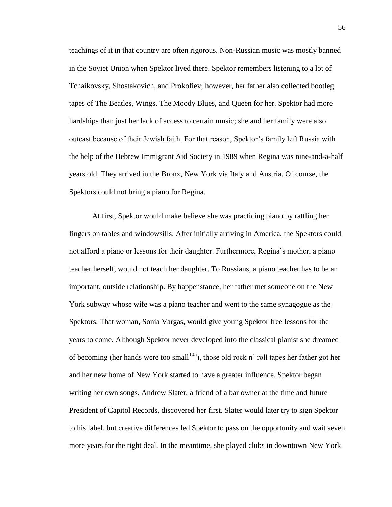teachings of it in that country are often rigorous. Non-Russian music was mostly banned in the Soviet Union when Spektor lived there. Spektor remembers listening to a lot of Tchaikovsky, Shostakovich, and Prokofiev; however, her father also collected bootleg tapes of The Beatles, Wings, The Moody Blues, and Queen for her. Spektor had more hardships than just her lack of access to certain music; she and her family were also outcast because of their Jewish faith. For that reason, Spektor's family left Russia with the help of the Hebrew Immigrant Aid Society in 1989 when Regina was nine-and-a-half years old. They arrived in the Bronx, New York via Italy and Austria. Of course, the Spektors could not bring a piano for Regina.

At first, Spektor would make believe she was practicing piano by rattling her fingers on tables and windowsills. After initially arriving in America, the Spektors could not afford a piano or lessons for their daughter. Furthermore, Regina's mother, a piano teacher herself, would not teach her daughter. To Russians, a piano teacher has to be an important, outside relationship. By happenstance, her father met someone on the New York subway whose wife was a piano teacher and went to the same synagogue as the Spektors. That woman, Sonia Vargas, would give young Spektor free lessons for the years to come. Although Spektor never developed into the classical pianist she dreamed of becoming (her hands were too small<sup>105</sup>), those old rock n' roll tapes her father got her and her new home of New York started to have a greater influence. Spektor began writing her own songs. Andrew Slater, a friend of a bar owner at the time and future President of Capitol Records, discovered her first. Slater would later try to sign Spektor to his label, but creative differences led Spektor to pass on the opportunity and wait seven more years for the right deal. In the meantime, she played clubs in downtown New York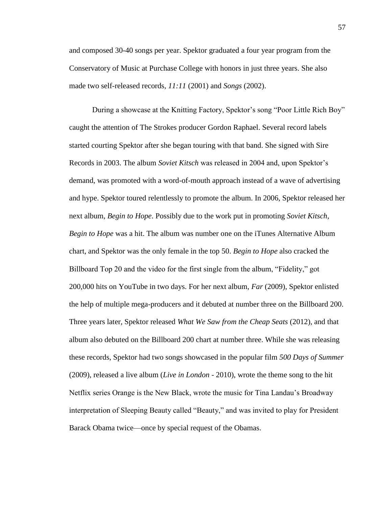and composed 30-40 songs per year. Spektor graduated a four year program from the Conservatory of Music at Purchase College with honors in just three years. She also made two self-released records, *11:11* (2001) and *Songs* (2002).

During a showcase at the Knitting Factory, Spektor's song "Poor Little Rich Boy" caught the attention of The Strokes producer Gordon Raphael. Several record labels started courting Spektor after she began touring with that band. She signed with Sire Records in 2003. The album *Soviet Kitsch* was released in 2004 and, upon Spektor's demand, was promoted with a word-of-mouth approach instead of a wave of advertising and hype. Spektor toured relentlessly to promote the album. In 2006, Spektor released her next album, *Begin to Hope*. Possibly due to the work put in promoting *Soviet Kitsch*, *Begin to Hope* was a hit. The album was number one on the iTunes Alternative Album chart, and Spektor was the only female in the top 50. *Begin to Hope* also cracked the Billboard Top 20 and the video for the first single from the album, "Fidelity," got 200,000 hits on YouTube in two days. For her next album, *Far* (2009), Spektor enlisted the help of multiple mega-producers and it debuted at number three on the Billboard 200. Three years later, Spektor released *What We Saw from the Cheap Seats* (2012), and that album also debuted on the Billboard 200 chart at number three. While she was releasing these records, Spektor had two songs showcased in the popular film *500 Days of Summer* (2009), released a live album (*Live in London* - 2010), wrote the theme song to the hit Netflix series Orange is the New Black, wrote the music for Tina Landau's Broadway interpretation of Sleeping Beauty called "Beauty," and was invited to play for President Barack Obama twice—once by special request of the Obamas.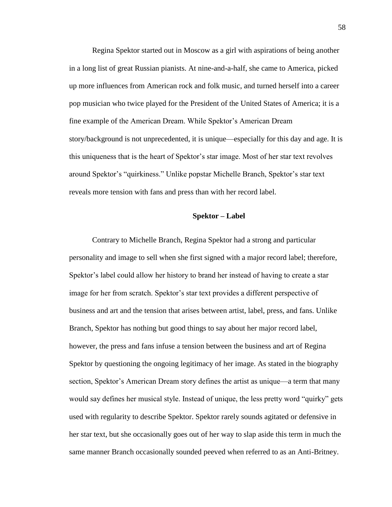Regina Spektor started out in Moscow as a girl with aspirations of being another in a long list of great Russian pianists. At nine-and-a-half, she came to America, picked up more influences from American rock and folk music, and turned herself into a career pop musician who twice played for the President of the United States of America; it is a fine example of the American Dream. While Spektor's American Dream story/background is not unprecedented, it is unique—especially for this day and age. It is this uniqueness that is the heart of Spektor's star image. Most of her star text revolves around Spektor's "quirkiness." Unlike popstar Michelle Branch, Spektor's star text reveals more tension with fans and press than with her record label.

# **Spektor – Label**

Contrary to Michelle Branch, Regina Spektor had a strong and particular personality and image to sell when she first signed with a major record label; therefore, Spektor's label could allow her history to brand her instead of having to create a star image for her from scratch. Spektor's star text provides a different perspective of business and art and the tension that arises between artist, label, press, and fans. Unlike Branch, Spektor has nothing but good things to say about her major record label, however, the press and fans infuse a tension between the business and art of Regina Spektor by questioning the ongoing legitimacy of her image. As stated in the biography section, Spektor's American Dream story defines the artist as unique—a term that many would say defines her musical style. Instead of unique, the less pretty word "quirky" gets used with regularity to describe Spektor. Spektor rarely sounds agitated or defensive in her star text, but she occasionally goes out of her way to slap aside this term in much the same manner Branch occasionally sounded peeved when referred to as an Anti-Britney.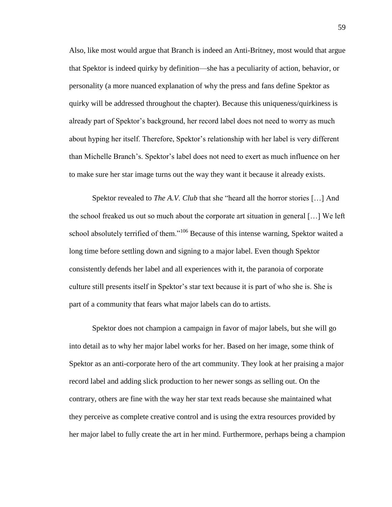Also, like most would argue that Branch is indeed an Anti-Britney, most would that argue that Spektor is indeed quirky by definition—she has a peculiarity of action, behavior, or personality (a more nuanced explanation of why the press and fans define Spektor as quirky will be addressed throughout the chapter). Because this uniqueness/quirkiness is already part of Spektor's background, her record label does not need to worry as much about hyping her itself. Therefore, Spektor's relationship with her label is very different than Michelle Branch's. Spektor's label does not need to exert as much influence on her to make sure her star image turns out the way they want it because it already exists.

Spektor revealed to *The A.V. Club* that she "heard all the horror stories […] And the school freaked us out so much about the corporate art situation in general […] We left school absolutely terrified of them."<sup>106</sup> Because of this intense warning, Spektor waited a long time before settling down and signing to a major label. Even though Spektor consistently defends her label and all experiences with it, the paranoia of corporate culture still presents itself in Spektor's star text because it is part of who she is. She is part of a community that fears what major labels can do to artists.

Spektor does not champion a campaign in favor of major labels, but she will go into detail as to why her major label works for her. Based on her image, some think of Spektor as an anti-corporate hero of the art community. They look at her praising a major record label and adding slick production to her newer songs as selling out. On the contrary, others are fine with the way her star text reads because she maintained what they perceive as complete creative control and is using the extra resources provided by her major label to fully create the art in her mind. Furthermore, perhaps being a champion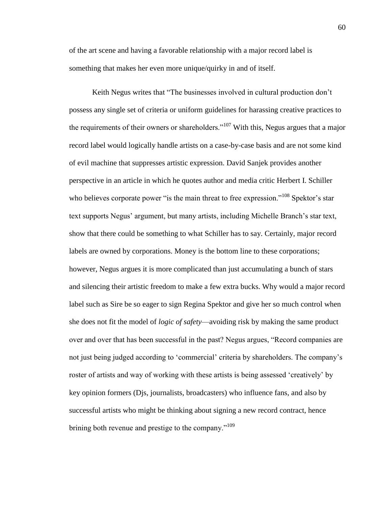of the art scene and having a favorable relationship with a major record label is something that makes her even more unique/quirky in and of itself.

Keith Negus writes that "The businesses involved in cultural production don't possess any single set of criteria or uniform guidelines for harassing creative practices to the requirements of their owners or shareholders."<sup>107</sup> With this, Negus argues that a major record label would logically handle artists on a case-by-case basis and are not some kind of evil machine that suppresses artistic expression. David Sanjek provides another perspective in an article in which he quotes author and media critic Herbert I. Schiller who believes corporate power "is the main threat to free expression."<sup>108</sup> Spektor's star text supports Negus' argument, but many artists, including Michelle Branch's star text, show that there could be something to what Schiller has to say. Certainly, major record labels are owned by corporations. Money is the bottom line to these corporations; however, Negus argues it is more complicated than just accumulating a bunch of stars and silencing their artistic freedom to make a few extra bucks. Why would a major record label such as Sire be so eager to sign Regina Spektor and give her so much control when she does not fit the model of *logic of safety*—avoiding risk by making the same product over and over that has been successful in the past? Negus argues, "Record companies are not just being judged according to 'commercial' criteria by shareholders. The company's roster of artists and way of working with these artists is being assessed 'creatively' by key opinion formers (Djs, journalists, broadcasters) who influence fans, and also by successful artists who might be thinking about signing a new record contract, hence brining both revenue and prestige to the company."<sup>109</sup>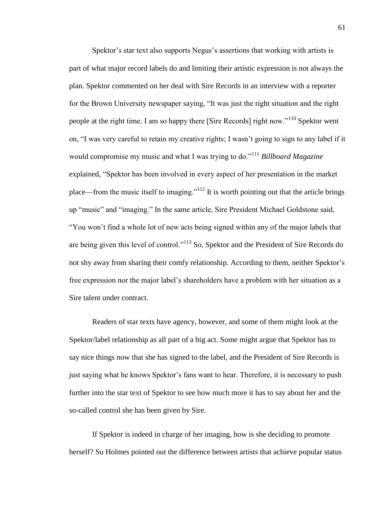Spektor's star text also supports Negus's assertions that working with artists is part of what major record labels do and limiting their artistic expression is not always the plan. Spektor commented on her deal with Sire Records in an interview with a reporter for the Brown University newspaper saying, "It was just the right situation and the right people at the right time. I am so happy there [Sire Records] right now."<sup>110</sup> Spektor went on, "I was very careful to retain my creative rights; I wasn't going to sign to any label if it would compromise my music and what I was trying to do."<sup>111</sup> *Billboard Magazine* explained, "Spektor has been involved in every aspect of her presentation in the market place—from the music itself to imaging."<sup>112</sup> It is worth pointing out that the article brings up "music" and "imaging." In the same article, Sire President Michael Goldstone said, "You won't find a whole lot of new acts being signed within any of the major labels that are being given this level of control."<sup>113</sup> So, Spektor and the President of Sire Records do not shy away from sharing their comfy relationship. According to them, neither Spektor's free expression nor the major label's shareholders have a problem with her situation as a Sire talent under contract.

Readers of star texts have agency, however, and some of them might look at the Spektor/label relationship as all part of a big act. Some might argue that Spektor has to say nice things now that she has signed to the label, and the President of Sire Records is just saying what he knows Spektor's fans want to hear. Therefore, it is necessary to push further into the star text of Spektor to see how much more it has to say about her and the so-called control she has been given by Sire.

If Spektor is indeed in charge of her imaging, how is she deciding to promote herself? Su Holmes pointed out the difference between artists that achieve popular status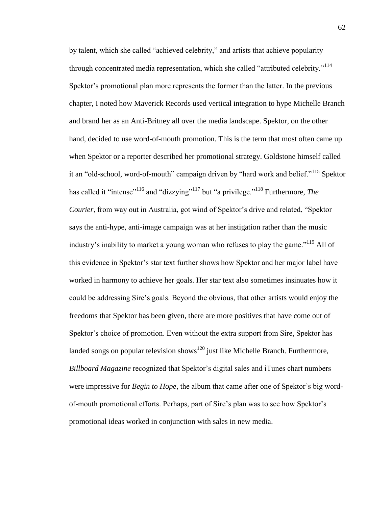by talent, which she called "achieved celebrity," and artists that achieve popularity through concentrated media representation, which she called "attributed celebrity."<sup>114</sup> Spektor's promotional plan more represents the former than the latter. In the previous chapter, I noted how Maverick Records used vertical integration to hype Michelle Branch and brand her as an Anti-Britney all over the media landscape. Spektor, on the other hand, decided to use word-of-mouth promotion. This is the term that most often came up when Spektor or a reporter described her promotional strategy. Goldstone himself called it an "old-school, word-of-mouth" campaign driven by "hard work and belief."<sup>115</sup> Spektor has called it "intense"<sup>116</sup> and "dizzying"<sup>117</sup> but "a privilege."<sup>118</sup> Furthermore, *The Courier*, from way out in Australia, got wind of Spektor's drive and related, "Spektor says the anti-hype, anti-image campaign was at her instigation rather than the music industry's inability to market a young woman who refuses to play the game."<sup>119</sup> All of this evidence in Spektor's star text further shows how Spektor and her major label have worked in harmony to achieve her goals. Her star text also sometimes insinuates how it could be addressing Sire's goals. Beyond the obvious, that other artists would enjoy the freedoms that Spektor has been given, there are more positives that have come out of Spektor's choice of promotion. Even without the extra support from Sire, Spektor has landed songs on popular television shows<sup>120</sup> just like Michelle Branch. Furthermore, *Billboard Magazine* recognized that Spektor's digital sales and iTunes chart numbers were impressive for *Begin to Hope*, the album that came after one of Spektor's big wordof-mouth promotional efforts. Perhaps, part of Sire's plan was to see how Spektor's promotional ideas worked in conjunction with sales in new media.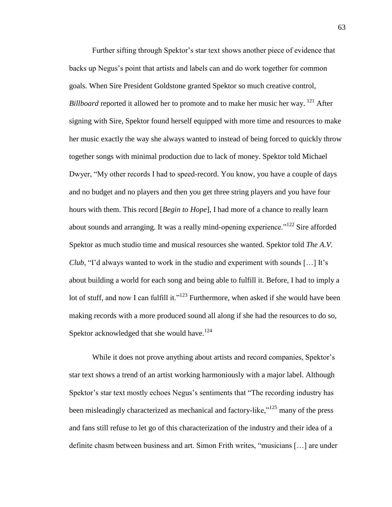Further sifting through Spektor's star text shows another piece of evidence that backs up Negus's point that artists and labels can and do work together for common goals. When Sire President Goldstone granted Spektor so much creative control, *Billboard* reported it allowed her to promote and to make her music her way. <sup>121</sup> After signing with Sire, Spektor found herself equipped with more time and resources to make her music exactly the way she always wanted to instead of being forced to quickly throw together songs with minimal production due to lack of money. Spektor told Michael Dwyer, "My other records I had to speed-record. You know, you have a couple of days and no budget and no players and then you get three string players and you have four hours with them. This record [*Begin to Hope*], I had more of a chance to really learn about sounds and arranging. It was a really mind-opening experience."<sup>122</sup> Sire afforded Spektor as much studio time and musical resources she wanted. Spektor told *The A.V. Club*, "I'd always wanted to work in the studio and experiment with sounds […] It's about building a world for each song and being able to fulfill it. Before, I had to imply a lot of stuff, and now I can fulfill it."<sup>123</sup> Furthermore, when asked if she would have been making records with a more produced sound all along if she had the resources to do so, Spektor acknowledged that she would have.<sup>124</sup>

While it does not prove anything about artists and record companies, Spektor's star text shows a trend of an artist working harmoniously with a major label. Although Spektor's star text mostly echoes Negus's sentiments that "The recording industry has been misleadingly characterized as mechanical and factory-like,<sup>"125</sup> many of the press and fans still refuse to let go of this characterization of the industry and their idea of a definite chasm between business and art. Simon Frith writes, "musicians […] are under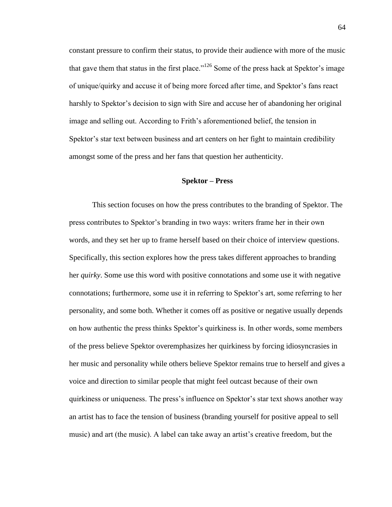constant pressure to confirm their status, to provide their audience with more of the music that gave them that status in the first place."<sup>126</sup> Some of the press hack at Spektor's image of unique/quirky and accuse it of being more forced after time, and Spektor's fans react harshly to Spektor's decision to sign with Sire and accuse her of abandoning her original image and selling out. According to Frith's aforementioned belief, the tension in Spektor's star text between business and art centers on her fight to maintain credibility amongst some of the press and her fans that question her authenticity.

## **Spektor – Press**

This section focuses on how the press contributes to the branding of Spektor. The press contributes to Spektor's branding in two ways: writers frame her in their own words, and they set her up to frame herself based on their choice of interview questions. Specifically, this section explores how the press takes different approaches to branding her *quirky*. Some use this word with positive connotations and some use it with negative connotations; furthermore, some use it in referring to Spektor's art, some referring to her personality, and some both. Whether it comes off as positive or negative usually depends on how authentic the press thinks Spektor's quirkiness is. In other words, some members of the press believe Spektor overemphasizes her quirkiness by forcing idiosyncrasies in her music and personality while others believe Spektor remains true to herself and gives a voice and direction to similar people that might feel outcast because of their own quirkiness or uniqueness. The press's influence on Spektor's star text shows another way an artist has to face the tension of business (branding yourself for positive appeal to sell music) and art (the music). A label can take away an artist's creative freedom, but the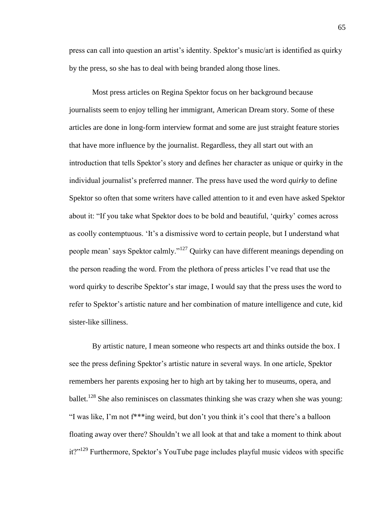press can call into question an artist's identity. Spektor's music/art is identified as quirky by the press, so she has to deal with being branded along those lines.

Most press articles on Regina Spektor focus on her background because journalists seem to enjoy telling her immigrant, American Dream story. Some of these articles are done in long-form interview format and some are just straight feature stories that have more influence by the journalist. Regardless, they all start out with an introduction that tells Spektor's story and defines her character as unique or quirky in the individual journalist's preferred manner. The press have used the word *quirky* to define Spektor so often that some writers have called attention to it and even have asked Spektor about it: "If you take what Spektor does to be bold and beautiful, 'quirky' comes across as coolly contemptuous. 'It's a dismissive word to certain people, but I understand what people mean' says Spektor calmly."<sup>127</sup> Quirky can have different meanings depending on the person reading the word. From the plethora of press articles I've read that use the word quirky to describe Spektor's star image, I would say that the press uses the word to refer to Spektor's artistic nature and her combination of mature intelligence and cute, kid sister-like silliness.

By artistic nature, I mean someone who respects art and thinks outside the box. I see the press defining Spektor's artistic nature in several ways. In one article, Spektor remembers her parents exposing her to high art by taking her to museums, opera, and ballet.<sup>128</sup> She also reminisces on classmates thinking she was crazy when she was young: "I was like, I'm not f\*\*\*ing weird, but don't you think it's cool that there's a balloon floating away over there? Shouldn't we all look at that and take a moment to think about it?"<sup>129</sup> Furthermore, Spektor's YouTube page includes playful music videos with specific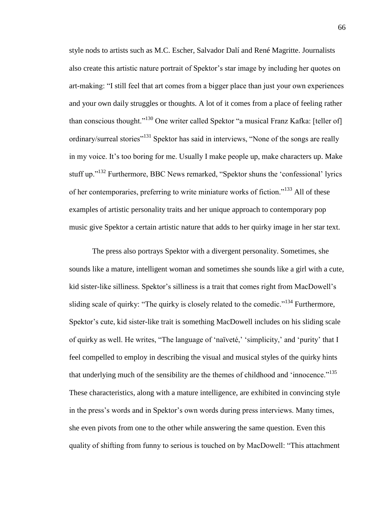style nods to artists such as M.C. Escher, Salvador Dalí and René Magritte. Journalists also create this artistic nature portrait of Spektor's star image by including her quotes on art-making: "I still feel that art comes from a bigger place than just your own experiences and your own daily struggles or thoughts. A lot of it comes from a place of feeling rather than conscious thought."<sup>130</sup> One writer called Spektor "a musical Franz Kafka: [teller of] ordinary/surreal stories"<sup>131</sup> Spektor has said in interviews, "None of the songs are really in my voice. It's too boring for me. Usually I make people up, make characters up. Make stuff up."<sup>132</sup> Furthermore, BBC News remarked, "Spektor shuns the 'confessional' lyrics of her contemporaries, preferring to write miniature works of fiction.<sup>"133</sup> All of these examples of artistic personality traits and her unique approach to contemporary pop music give Spektor a certain artistic nature that adds to her quirky image in her star text.

The press also portrays Spektor with a divergent personality. Sometimes, she sounds like a mature, intelligent woman and sometimes she sounds like a girl with a cute, kid sister-like silliness. Spektor's silliness is a trait that comes right from MacDowell's sliding scale of quirky: "The quirky is closely related to the comedic."<sup>134</sup> Furthermore, Spektor's cute, kid sister-like trait is something MacDowell includes on his sliding scale of quirky as well. He writes, "The language of 'naïveté,' 'simplicity,' and 'purity' that I feel compelled to employ in describing the visual and musical styles of the quirky hints that underlying much of the sensibility are the themes of childhood and 'innocence."<sup>135</sup> These characteristics, along with a mature intelligence, are exhibited in convincing style in the press's words and in Spektor's own words during press interviews. Many times, she even pivots from one to the other while answering the same question. Even this quality of shifting from funny to serious is touched on by MacDowell: "This attachment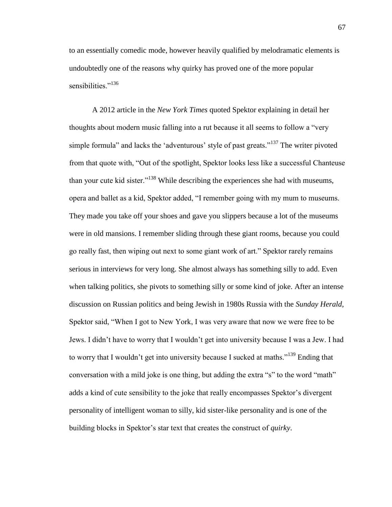to an essentially comedic mode, however heavily qualified by melodramatic elements is undoubtedly one of the reasons why quirky has proved one of the more popular sensibilities<sup>"136</sup>

A 2012 article in the *New York Times* quoted Spektor explaining in detail her thoughts about modern music falling into a rut because it all seems to follow a "very simple formula" and lacks the 'adventurous' style of past greats."<sup>137</sup> The writer pivoted from that quote with, "Out of the spotlight, Spektor looks less like a successful Chanteuse than your cute kid sister."<sup>138</sup> While describing the experiences she had with museums, opera and ballet as a kid, Spektor added, "I remember going with my mum to museums. They made you take off your shoes and gave you slippers because a lot of the museums were in old mansions. I remember sliding through these giant rooms, because you could go really fast, then wiping out next to some giant work of art." Spektor rarely remains serious in interviews for very long. She almost always has something silly to add. Even when talking politics, she pivots to something silly or some kind of joke. After an intense discussion on Russian politics and being Jewish in 1980s Russia with the *Sunday Herald*, Spektor said, "When I got to New York, I was very aware that now we were free to be Jews. I didn't have to worry that I wouldn't get into university because I was a Jew. I had to worry that I wouldn't get into university because I sucked at maths."<sup>139</sup> Ending that conversation with a mild joke is one thing, but adding the extra "s" to the word "math" adds a kind of cute sensibility to the joke that really encompasses Spektor's divergent personality of intelligent woman to silly, kid sister-like personality and is one of the building blocks in Spektor's star text that creates the construct of *quirky*.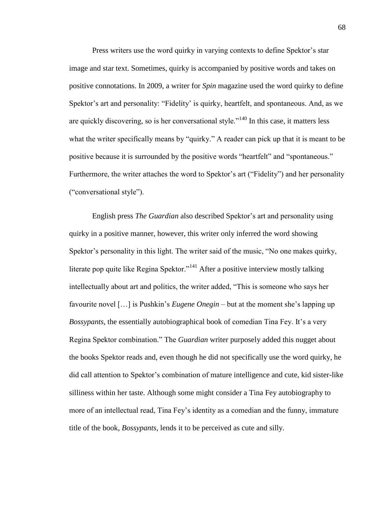Press writers use the word quirky in varying contexts to define Spektor's star image and star text. Sometimes, quirky is accompanied by positive words and takes on positive connotations. In 2009, a writer for *Spin* magazine used the word quirky to define Spektor's art and personality: "Fidelity' is quirky, heartfelt, and spontaneous. And, as we are quickly discovering, so is her conversational style."<sup>140</sup> In this case, it matters less what the writer specifically means by "quirky." A reader can pick up that it is meant to be positive because it is surrounded by the positive words "heartfelt" and "spontaneous." Furthermore, the writer attaches the word to Spektor's art ("Fidelity") and her personality ("conversational style").

English press *The Guardian* also described Spektor's art and personality using quirky in a positive manner, however, this writer only inferred the word showing Spektor's personality in this light. The writer said of the music, "No one makes quirky, literate pop quite like Regina Spektor."<sup>141</sup> After a positive interview mostly talking intellectually about art and politics, the writer added, "This is someone who says her favourite novel […] is Pushkin's *Eugene Onegin* – but at the moment she's lapping up *Bossypants*, the essentially autobiographical book of comedian Tina Fey. It's a very Regina Spektor combination." The *Guardian* writer purposely added this nugget about the books Spektor reads and, even though he did not specifically use the word quirky, he did call attention to Spektor's combination of mature intelligence and cute, kid sister-like silliness within her taste. Although some might consider a Tina Fey autobiography to more of an intellectual read, Tina Fey's identity as a comedian and the funny, immature title of the book, *Bossypants*, lends it to be perceived as cute and silly.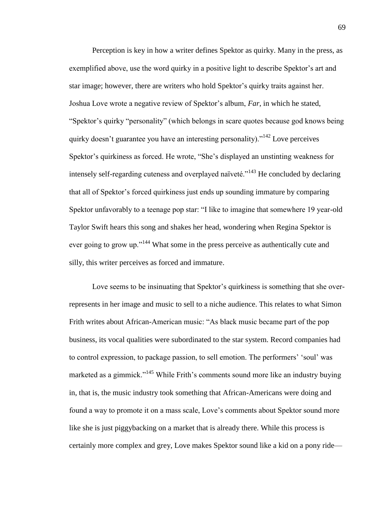Perception is key in how a writer defines Spektor as quirky. Many in the press, as exemplified above, use the word quirky in a positive light to describe Spektor's art and star image; however, there are writers who hold Spektor's quirky traits against her. Joshua Love wrote a negative review of Spektor's album, *Far*, in which he stated, "Spektor's quirky "personality" (which belongs in scare quotes because god knows being quirky doesn't guarantee you have an interesting personality)."<sup>142</sup> Love perceives Spektor's quirkiness as forced. He wrote, "She's displayed an unstinting weakness for intensely self-regarding cuteness and overplayed naïveté."<sup>143</sup> He concluded by declaring that all of Spektor's forced quirkiness just ends up sounding immature by comparing Spektor unfavorably to a teenage pop star: "I like to imagine that somewhere 19 year-old Taylor Swift hears this song and shakes her head, wondering when Regina Spektor is ever going to grow up."<sup>144</sup> What some in the press perceive as authentically cute and silly, this writer perceives as forced and immature.

Love seems to be insinuating that Spektor's quirkiness is something that she overrepresents in her image and music to sell to a niche audience. This relates to what Simon Frith writes about African-American music: "As black music became part of the pop business, its vocal qualities were subordinated to the star system. Record companies had to control expression, to package passion, to sell emotion. The performers' 'soul' was marketed as a gimmick."<sup>145</sup> While Frith's comments sound more like an industry buying in, that is, the music industry took something that African-Americans were doing and found a way to promote it on a mass scale, Love's comments about Spektor sound more like she is just piggybacking on a market that is already there. While this process is certainly more complex and grey, Love makes Spektor sound like a kid on a pony ride—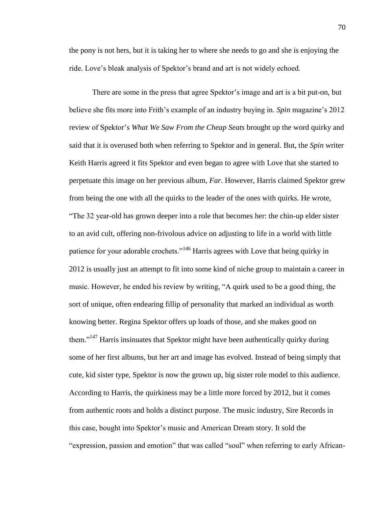the pony is not hers, but it is taking her to where she needs to go and she is enjoying the ride. Love's bleak analysis of Spektor's brand and art is not widely echoed.

There are some in the press that agree Spektor's image and art is a bit put-on, but believe she fits more into Frith's example of an industry buying in. *Spin* magazine's 2012 review of Spektor's *What We Saw From the Cheap Seats* brought up the word quirky and said that it is overused both when referring to Spektor and in general. But, the *Spin* writer Keith Harris agreed it fits Spektor and even began to agree with Love that she started to perpetuate this image on her previous album, *Far*. However, Harris claimed Spektor grew from being the one with all the quirks to the leader of the ones with quirks. He wrote, "The 32 year-old has grown deeper into a role that becomes her: the chin-up elder sister to an avid cult, offering non-frivolous advice on adjusting to life in a world with little patience for your adorable crochets."<sup>146</sup> Harris agrees with Love that being quirky in 2012 is usually just an attempt to fit into some kind of niche group to maintain a career in music. However, he ended his review by writing, "A quirk used to be a good thing, the sort of unique, often endearing fillip of personality that marked an individual as worth knowing better. Regina Spektor offers up loads of those, and she makes good on them."<sup>147</sup> Harris insinuates that Spektor might have been authentically quirky during some of her first albums, but her art and image has evolved. Instead of being simply that cute, kid sister type, Spektor is now the grown up, big sister role model to this audience. According to Harris, the quirkiness may be a little more forced by 2012, but it comes from authentic roots and holds a distinct purpose. The music industry, Sire Records in this case, bought into Spektor's music and American Dream story. It sold the "expression, passion and emotion" that was called "soul" when referring to early African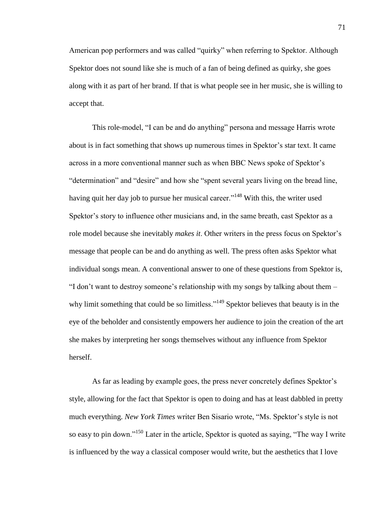American pop performers and was called "quirky" when referring to Spektor. Although Spektor does not sound like she is much of a fan of being defined as quirky, she goes along with it as part of her brand. If that is what people see in her music, she is willing to accept that.

This role-model, "I can be and do anything" persona and message Harris wrote about is in fact something that shows up numerous times in Spektor's star text. It came across in a more conventional manner such as when BBC News spoke of Spektor's "determination" and "desire" and how she "spent several years living on the bread line, having quit her day job to pursue her musical career."<sup>148</sup> With this, the writer used Spektor's story to influence other musicians and, in the same breath, cast Spektor as a role model because she inevitably *makes it*. Other writers in the press focus on Spektor's message that people can be and do anything as well. The press often asks Spektor what individual songs mean. A conventional answer to one of these questions from Spektor is, "I don't want to destroy someone's relationship with my songs by talking about them – why limit something that could be so limitless."<sup>149</sup> Spektor believes that beauty is in the eye of the beholder and consistently empowers her audience to join the creation of the art she makes by interpreting her songs themselves without any influence from Spektor herself.

As far as leading by example goes, the press never concretely defines Spektor's style, allowing for the fact that Spektor is open to doing and has at least dabbled in pretty much everything. *New York Times* writer Ben Sisario wrote, "Ms. Spektor's style is not so easy to pin down."<sup>150</sup> Later in the article, Spektor is quoted as saying, "The way I write is influenced by the way a classical composer would write, but the aesthetics that I love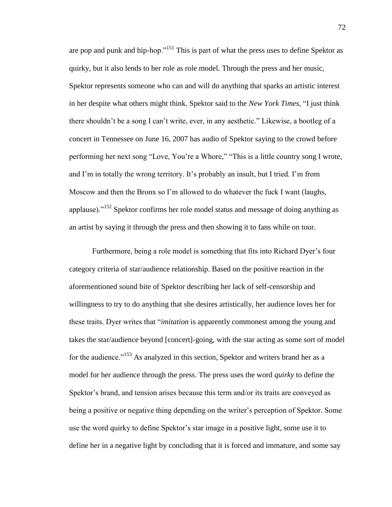are pop and punk and hip-hop."<sup>151</sup> This is part of what the press uses to define Spektor as quirky, but it also lends to her role as role model. Through the press and her music, Spektor represents someone who can and will do anything that sparks an artistic interest in her despite what others might think. Spektor said to the *New York Times*, "I just think there shouldn't be a song I can't write, ever, in any aesthetic." Likewise, a bootleg of a concert in Tennessee on June 16, 2007 has audio of Spektor saying to the crowd before performing her next song "Love, You're a Whore," "This is a little country song I wrote, and I'm in totally the wrong territory. It's probably an insult, but I tried. I'm from Moscow and then the Bronx so I'm allowed to do whatever the fuck I want (laughs, applause)."<sup>152</sup> Spektor confirms her role model status and message of doing anything as an artist by saying it through the press and then showing it to fans while on tour.

Furthermore, being a role model is something that fits into Richard Dyer's four category criteria of star/audience relationship. Based on the positive reaction in the aforementioned sound bite of Spektor describing her lack of self-censorship and willingness to try to do anything that she desires artistically, her audience loves her for these traits. Dyer writes that "*imitation* is apparently commonest among the young and takes the star/audience beyond [concert]-going, with the star acting as some sort of model for the audience."<sup>153</sup> As analyzed in this section, Spektor and writers brand her as a model for her audience through the press. The press uses the word *quirky* to define the Spektor's brand, and tension arises because this term and/or its traits are conveyed as being a positive or negative thing depending on the writer's perception of Spektor. Some use the word quirky to define Spektor's star image in a positive light, some use it to define her in a negative light by concluding that it is forced and immature, and some say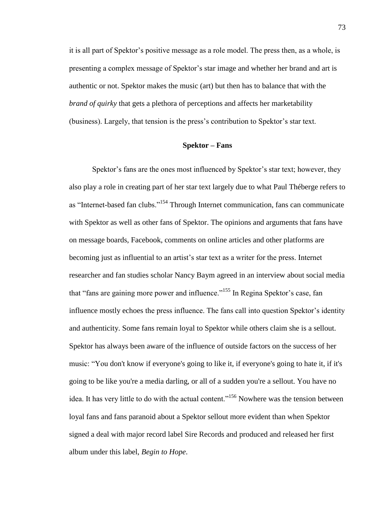it is all part of Spektor's positive message as a role model. The press then, as a whole, is presenting a complex message of Spektor's star image and whether her brand and art is authentic or not. Spektor makes the music (art) but then has to balance that with the *brand of quirky* that gets a plethora of perceptions and affects her marketability (business). Largely, that tension is the press's contribution to Spektor's star text.

## **Spektor – Fans**

Spektor's fans are the ones most influenced by Spektor's star text; however, they also play a role in creating part of her star text largely due to what Paul Théberge refers to as "Internet-based fan clubs."<sup>154</sup> Through Internet communication, fans can communicate with Spektor as well as other fans of Spektor. The opinions and arguments that fans have on message boards, Facebook, comments on online articles and other platforms are becoming just as influential to an artist's star text as a writer for the press. Internet researcher and fan studies scholar Nancy Baym agreed in an interview about social media that "fans are gaining more power and influence."<sup>155</sup> In Regina Spektor's case, fan influence mostly echoes the press influence. The fans call into question Spektor's identity and authenticity. Some fans remain loyal to Spektor while others claim she is a sellout. Spektor has always been aware of the influence of outside factors on the success of her music: "You don't know if everyone's going to like it, if everyone's going to hate it, if it's going to be like you're a media darling, or all of a sudden you're a sellout. You have no idea. It has very little to do with the actual content."<sup>156</sup> Nowhere was the tension between loyal fans and fans paranoid about a Spektor sellout more evident than when Spektor signed a deal with major record label Sire Records and produced and released her first album under this label, *Begin to Hope*.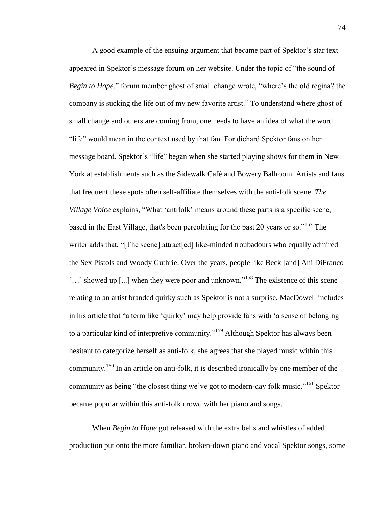A good example of the ensuing argument that became part of Spektor's star text appeared in Spektor's message forum on her website. Under the topic of "the sound of *Begin to Hope*," forum member ghost of small change wrote, "where's the old regina? the company is sucking the life out of my new favorite artist." To understand where ghost of small change and others are coming from, one needs to have an idea of what the word "life" would mean in the context used by that fan. For diehard Spektor fans on her message board, Spektor's "life" began when she started playing shows for them in New York at establishments such as the Sidewalk Café and Bowery Ballroom. Artists and fans that frequent these spots often self-affiliate themselves with the anti-folk scene. *The Village Voice* explains, "What 'antifolk' means around these parts is a specific scene, based in the East Village, that's been percolating for the past 20 years or so."<sup>157</sup> The writer adds that, "[The scene] attract[ed] like-minded troubadours who equally admired the Sex Pistols and Woody Guthrie. Over the years, people like Beck [and] Ani DiFranco  $\left[\ldots\right]$  showed up  $\left[\ldots\right]$  when they were poor and unknown.<sup>158</sup> The existence of this scene relating to an artist branded quirky such as Spektor is not a surprise. MacDowell includes in his article that "a term like 'quirky' may help provide fans with 'a sense of belonging to a particular kind of interpretive community."<sup>159</sup> Although Spektor has always been hesitant to categorize herself as anti-folk, she agrees that she played music within this community.<sup>160</sup> In an article on anti-folk, it is described ironically by one member of the community as being "the closest thing we've got to modern-day folk music."<sup>161</sup> Spektor became popular within this anti-folk crowd with her piano and songs.

When *Begin to Hope* got released with the extra bells and whistles of added production put onto the more familiar, broken-down piano and vocal Spektor songs, some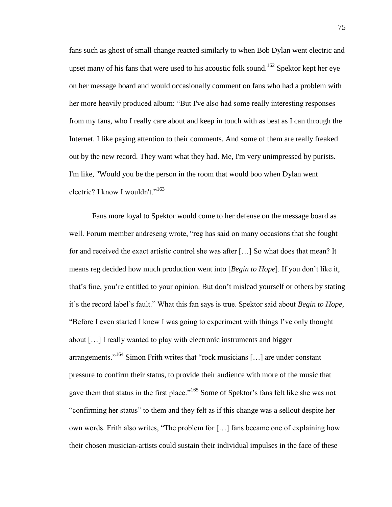fans such as ghost of small change reacted similarly to when Bob Dylan went electric and upset many of his fans that were used to his acoustic folk sound.<sup>162</sup> Spektor kept her eye on her message board and would occasionally comment on fans who had a problem with her more heavily produced album: "But I've also had some really interesting responses from my fans, who I really care about and keep in touch with as best as I can through the Internet. I like paying attention to their comments. And some of them are really freaked out by the new record. They want what they had. Me, I'm very unimpressed by purists. I'm like, "Would you be the person in the room that would boo when Dylan went electric? I know I wouldn't."<sup>163</sup>

Fans more loyal to Spektor would come to her defense on the message board as well. Forum member andreseng wrote, "reg has said on many occasions that she fought for and received the exact artistic control she was after […] So what does that mean? It means reg decided how much production went into [*Begin to Hope*]. If you don't like it, that's fine, you're entitled to your opinion. But don't mislead yourself or others by stating it's the record label's fault." What this fan says is true. Spektor said about *Begin to Hope*, "Before I even started I knew I was going to experiment with things I've only thought about […] I really wanted to play with electronic instruments and bigger arrangements."<sup>164</sup> Simon Frith writes that "rock musicians […] are under constant pressure to confirm their status, to provide their audience with more of the music that gave them that status in the first place."<sup>165</sup> Some of Spektor's fans felt like she was not "confirming her status" to them and they felt as if this change was a sellout despite her own words. Frith also writes, "The problem for […] fans became one of explaining how their chosen musician-artists could sustain their individual impulses in the face of these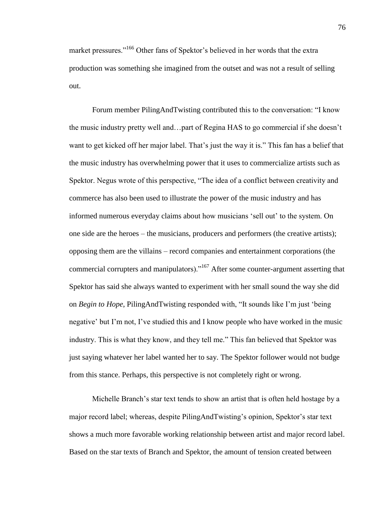market pressures."<sup>166</sup> Other fans of Spektor's believed in her words that the extra production was something she imagined from the outset and was not a result of selling out.

Forum member PilingAndTwisting contributed this to the conversation: "I know the music industry pretty well and…part of Regina HAS to go commercial if she doesn't want to get kicked off her major label. That's just the way it is." This fan has a belief that the music industry has overwhelming power that it uses to commercialize artists such as Spektor. Negus wrote of this perspective, "The idea of a conflict between creativity and commerce has also been used to illustrate the power of the music industry and has informed numerous everyday claims about how musicians 'sell out' to the system. On one side are the heroes – the musicians, producers and performers (the creative artists); opposing them are the villains – record companies and entertainment corporations (the commercial corrupters and manipulators)."<sup>167</sup> After some counter-argument asserting that Spektor has said she always wanted to experiment with her small sound the way she did on *Begin to Hope*, PilingAndTwisting responded with, "It sounds like I'm just 'being negative' but I'm not, I've studied this and I know people who have worked in the music industry. This is what they know, and they tell me." This fan believed that Spektor was just saying whatever her label wanted her to say. The Spektor follower would not budge from this stance. Perhaps, this perspective is not completely right or wrong.

Michelle Branch's star text tends to show an artist that is often held hostage by a major record label; whereas, despite PilingAndTwisting's opinion, Spektor's star text shows a much more favorable working relationship between artist and major record label. Based on the star texts of Branch and Spektor, the amount of tension created between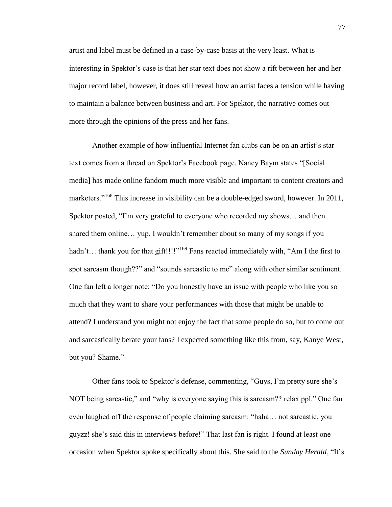artist and label must be defined in a case-by-case basis at the very least. What is interesting in Spektor's case is that her star text does not show a rift between her and her major record label, however, it does still reveal how an artist faces a tension while having to maintain a balance between business and art. For Spektor, the narrative comes out more through the opinions of the press and her fans.

Another example of how influential Internet fan clubs can be on an artist's star text comes from a thread on Spektor's Facebook page. Nancy Baym states "[Social media] has made online fandom much more visible and important to content creators and marketers."<sup>168</sup> This increase in visibility can be a double-edged sword, however. In 2011, Spektor posted, "I'm very grateful to everyone who recorded my shows… and then shared them online… yup. I wouldn't remember about so many of my songs if you hadn't... thank you for that gift!!!!"<sup>169</sup> Fans reacted immediately with, "Am I the first to spot sarcasm though??" and "sounds sarcastic to me" along with other similar sentiment. One fan left a longer note: "Do you honestly have an issue with people who like you so much that they want to share your performances with those that might be unable to attend? I understand you might not enjoy the fact that some people do so, but to come out and sarcastically berate your fans? I expected something like this from, say, Kanye West, but you? Shame."

Other fans took to Spektor's defense, commenting, "Guys, I'm pretty sure she's NOT being sarcastic," and "why is everyone saying this is sarcasm?? relax ppl." One fan even laughed off the response of people claiming sarcasm: "haha… not sarcastic, you guyzz! she's said this in interviews before!" That last fan is right. I found at least one occasion when Spektor spoke specifically about this. She said to the *Sunday Herald*, "It's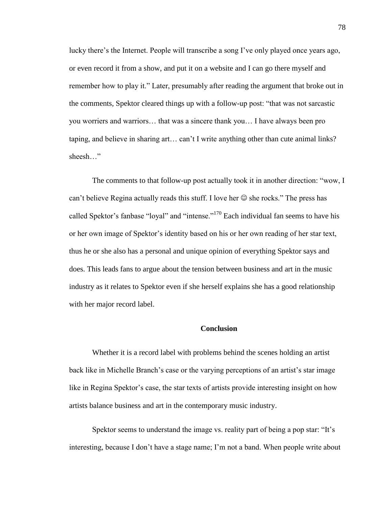lucky there's the Internet. People will transcribe a song I've only played once years ago, or even record it from a show, and put it on a website and I can go there myself and remember how to play it." Later, presumably after reading the argument that broke out in the comments, Spektor cleared things up with a follow-up post: "that was not sarcastic you worriers and warriors… that was a sincere thank you… I have always been pro taping, and believe in sharing art… can't I write anything other than cute animal links? sheesh…"

The comments to that follow-up post actually took it in another direction: "wow, I can't believe Regina actually reads this stuff. I love her  $\odot$  she rocks." The press has called Spektor's fanbase "loyal" and "intense."<sup>170</sup> Each individual fan seems to have his or her own image of Spektor's identity based on his or her own reading of her star text, thus he or she also has a personal and unique opinion of everything Spektor says and does. This leads fans to argue about the tension between business and art in the music industry as it relates to Spektor even if she herself explains she has a good relationship with her major record label.

## **Conclusion**

Whether it is a record label with problems behind the scenes holding an artist back like in Michelle Branch's case or the varying perceptions of an artist's star image like in Regina Spektor's case, the star texts of artists provide interesting insight on how artists balance business and art in the contemporary music industry.

Spektor seems to understand the image vs. reality part of being a pop star: "It's interesting, because I don't have a stage name; I'm not a band. When people write about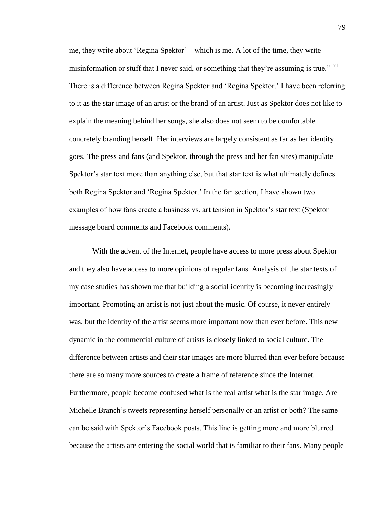me, they write about 'Regina Spektor'—which is me. A lot of the time, they write misinformation or stuff that I never said, or something that they're assuming is true."<sup>171</sup> There is a difference between Regina Spektor and 'Regina Spektor.' I have been referring to it as the star image of an artist or the brand of an artist. Just as Spektor does not like to explain the meaning behind her songs, she also does not seem to be comfortable concretely branding herself. Her interviews are largely consistent as far as her identity goes. The press and fans (and Spektor, through the press and her fan sites) manipulate Spektor's star text more than anything else, but that star text is what ultimately defines both Regina Spektor and 'Regina Spektor.' In the fan section, I have shown two examples of how fans create a business vs. art tension in Spektor's star text (Spektor message board comments and Facebook comments).

With the advent of the Internet, people have access to more press about Spektor and they also have access to more opinions of regular fans. Analysis of the star texts of my case studies has shown me that building a social identity is becoming increasingly important. Promoting an artist is not just about the music. Of course, it never entirely was, but the identity of the artist seems more important now than ever before. This new dynamic in the commercial culture of artists is closely linked to social culture. The difference between artists and their star images are more blurred than ever before because there are so many more sources to create a frame of reference since the Internet. Furthermore, people become confused what is the real artist what is the star image. Are Michelle Branch's tweets representing herself personally or an artist or both? The same can be said with Spektor's Facebook posts. This line is getting more and more blurred because the artists are entering the social world that is familiar to their fans. Many people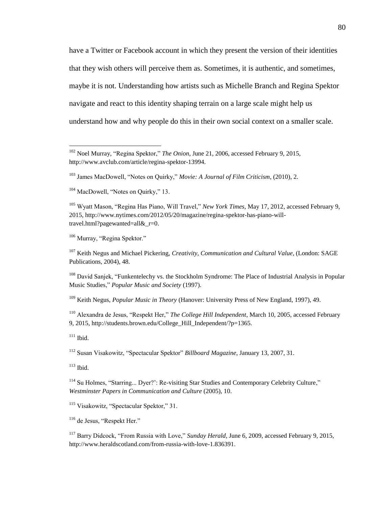have a Twitter or Facebook account in which they present the version of their identities that they wish others will perceive them as. Sometimes, it is authentic, and sometimes, maybe it is not. Understanding how artists such as Michelle Branch and Regina Spektor navigate and react to this identity shaping terrain on a large scale might help us understand how and why people do this in their own social context on a smaller scale.

<sup>108</sup> David Sanjek, "Funkentelechy vs. the Stockholm Syndrome: The Place of Industrial Analysis in Popular Music Studies," *Popular Music and Society* (1997).

<sup>109</sup> Keith Negus, *Popular Music in Theory* (Hanover: University Press of New England, 1997), 49.

<sup>110</sup> Alexandra de Jesus, "Respekt Her," *The College Hill Independent*, March 10, 2005, accessed February 9, 2015, http://students.brown.edu/College\_Hill\_Independent/?p=1365.

 $111$  Ibid.

 $\overline{a}$ 

<sup>112</sup> Susan Visakowitz, "Spectacular Spektor" *Billboard Magazine*, January 13, 2007, 31.

 $113$  Ibid.

<sup>114</sup> Su Holmes, "Starring... Dyer?': Re-visiting Star Studies and Contemporary Celebrity Culture," *Westminster Papers in Communication and Culture* (2005), 10.

<sup>115</sup> Visakowitz, "Spectacular Spektor," 31.

<sup>116</sup> de Jesus, "Respekt Her."

<sup>117</sup> Barry Didcock, "From Russia with Love," *Sunday Herald*, June 6, 2009, accessed February 9, 2015, http://www.heraldscotland.com/from-russia-with-love-1.836391.

<sup>102</sup> Noel Murray, "Regina Spektor," *The Onion*, June 21, 2006, accessed February 9, 2015, http://www.avclub.com/article/regina-spektor-13994.

<sup>103</sup> James MacDowell, "Notes on Quirky," *Movie: A Journal of Film Criticism*, (2010), 2.

<sup>&</sup>lt;sup>104</sup> MacDowell, "Notes on Quirky," 13.

<sup>105</sup> Wyatt Mason, "Regina Has Piano, Will Travel," *New York Times*, May 17, 2012, accessed February 9, 2015, http://www.nytimes.com/2012/05/20/magazine/regina-spektor-has-piano-willtravel.html?pagewanted=all&\_r=0.

<sup>106</sup> Murray, "Regina Spektor."

<sup>107</sup> Keith Negus and Michael Pickering, *Creativity, Communication and Cultural Value*, (London: SAGE Publications, 2004), 48.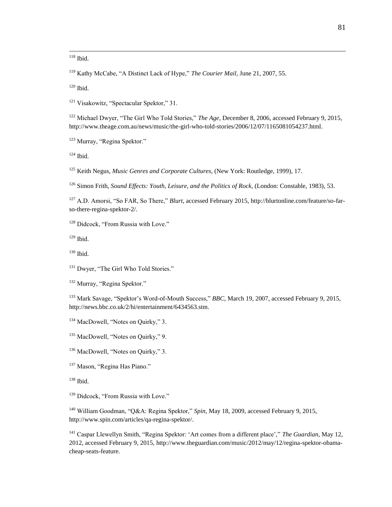$\overline{a}$ 

<sup>119</sup> Kathy McCabe, "A Distinct Lack of Hype," *The Courier Mail,* June 21, 2007, 55.

 $120$  Ibid.

<sup>121</sup> Visakowitz, "Spectacular Spektor," 31.

<sup>122</sup> Michael Dwyer, "The Girl Who Told Stories," *The Age*, December 8, 2006, accessed February 9, 2015, http://www.theage.com.au/news/music/the-girl-who-told-stories/2006/12/07/1165081054237.html.

<sup>123</sup> Murray, "Regina Spektor."

 $124$  Ibid.

<sup>125</sup> Keith Negus, *Music Genres and Corporate Cultures*, (New York: Routledge, 1999), 17.

<sup>126</sup> Simon Frith, *Sound Effects: Youth, Leisure, and the Politics of Rock*, (London: Constable, 1983), 53.

<sup>127</sup> A.D. Amorsi, "So FAR, So There," *Blurt*, accessed February 2015, http://blurtonline.com/feature/so-farso-there-regina-spektor-2/.

<sup>128</sup> Didcock, "From Russia with Love."

 $129$  Ibid.

<sup>130</sup> Ibid.

<sup>131</sup> Dwyer, "The Girl Who Told Stories."

<sup>133</sup> Mark Savage, "Spektor's Word-of-Mouth Success," *BBC*, March 19, 2007, accessed February 9, 2015, http://news.bbc.co.uk/2/hi/entertainment/6434563.stm.

<sup>134</sup> MacDowell, "Notes on Ouirky," 3.

<sup>135</sup> MacDowell, "Notes on Ouirky," 9.

<sup>136</sup> MacDowell, "Notes on Quirky," 3.

<sup>137</sup> Mason, "Regina Has Piano."

 $138$  Ibid.

<sup>139</sup> Didcock, "From Russia with Love."

<sup>140</sup> William Goodman, "Q&A: Regina Spektor," *Spin*, May 18, 2009, accessed February 9, 2015, http://www.spin.com/articles/qa-regina-spektor/.

<sup>141</sup> Caspar Llewellyn Smith, "Regina Spektor: 'Art comes from a different place'," *The Guardian*, May 12, 2012, accessed February 9, 2015, http://www.theguardian.com/music/2012/may/12/regina-spektor-obamacheap-seats-feature.

<sup>&</sup>lt;sup>132</sup> Murray, "Regina Spektor."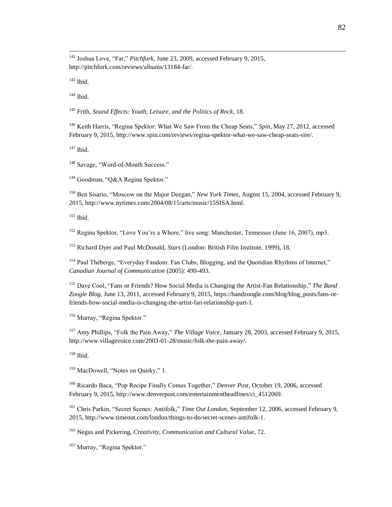<sup>142</sup> Joshua Love, "Far," *Pitchfork*, June 23, 2009, accessed February 9, 2015, http://pitchfork.com/reviews/albums/13184-far/.

 $143$  Ibid.

 $\overline{a}$ 

 $144$  Ibid.

<sup>145</sup> Frith, *Sound Effects: Youth, Leisure, and the Politics of Rock*, 18.

<sup>146</sup> Keith Harris, "Regina Spektor: What We Saw From the Cheap Seats," *Spin*, May 27, 2012, accessed February 9, 2015, http://www.spin.com/reviews/regina-spektor-what-we-saw-cheap-seats-sire/.

 $147$  Ibid.

<sup>148</sup> Savage, "Word-of-Mouth Success."

<sup>149</sup> Goodman, "Q&A Regina Spektor."

<sup>150</sup> Ben Sisario, "Moscow on the Major Deegan," *New York Times*, August 15, 2004, accessed February 9, 2015, http://www.nytimes.com/2004/08/15/arts/music/15SISA.html.

 $151$  Ibid.

<sup>152</sup> Regina Spektor, "Love You're a Whore," live song: Manchester, Tennessee (June 16, 2007), mp3.

<sup>153</sup> Richard Dyer and Paul McDonald, *Stars* (London: British Film Institute, 1999), 18.

<sup>154</sup> Paul Théberge, "Everyday Fandom: Fan Clubs, Blogging, and the Quotidian Rhythms of Internet," *Canadian Journal of Communication* (2005): 490-493.

<sup>155</sup> Dave Cool, "Fans or Friends? How Social Media is Changing the Artist-Fan Relationship," *The Band Zoogle Blog*, June 13, 2011, accessed February 9, 2015, https://bandzoogle.com/blog/blog\_posts/fans-orfriends-how-social-media-is-changing-the-artist-fan-relationship-part-1.

<sup>156</sup> Murray, "Regina Spektor."

<sup>157</sup> Amy Phillips, "Folk the Pain Away," *The Village Voice*, January 28, 2003, accessed February 9, 2015, http://www.villagevoice.com/2003-01-28/music/folk-the-pain-away/.

<sup>158</sup> Ibid.

<sup>159</sup> MacDowell, "Notes on Quirky," 1.

<sup>160</sup> Ricardo Baca, "Pop Recipe Finally Comes Together," *Denver Post*, October 19, 2006, accessed February 9, 2015, http://www.denverpost.com/entertainmentheadlines/ci\_4512069.

<sup>161</sup> Chris Parkin, "Secret Scenes: Antifolk," *Time Out London*, September 12, 2006, accessed February 9, 2015, http://www.timeout.com/london/things-to-do/secret-scenes-antifolk-1.

<sup>162</sup> Negus and Pickering, *Creativity, Communication and Cultural Value*, 72.

<sup>163</sup> Murray, "Regina Spektor."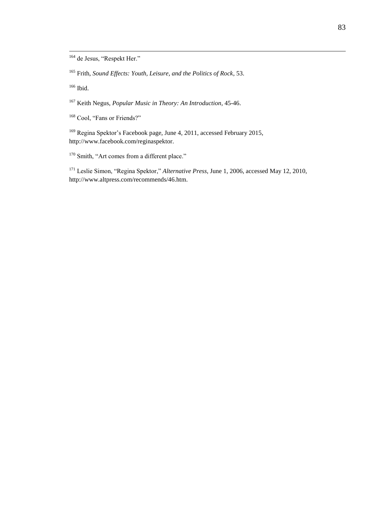<sup>164</sup> de Jesus, "Respekt Her."

<sup>165</sup> Frith, *Sound Effects: Youth, Leisure, and the Politics of Rock*, 53.

<sup>166</sup> Ibid.

 $\overline{a}$ 

<sup>167</sup> Keith Negus, *Popular Music in Theory: An Introduction*, 45-46.

<sup>168</sup> Cool, "Fans or Friends?"

<sup>169</sup> Regina Spektor's Facebook page, June 4, 2011, accessed February 2015, http://www.facebook.com/reginaspektor.

<sup>170</sup> Smith, "Art comes from a different place."

<sup>171</sup> Leslie Simon, "Regina Spektor," *Alternative Press*, June 1, 2006, accessed May 12, 2010, http://www.altpress.com/recommends/46.htm.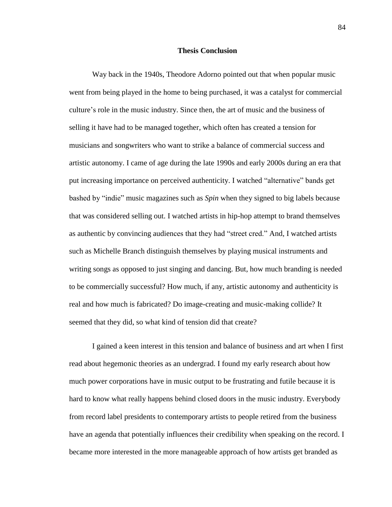## **Thesis Conclusion**

Way back in the 1940s, Theodore Adorno pointed out that when popular music went from being played in the home to being purchased, it was a catalyst for commercial culture's role in the music industry. Since then, the art of music and the business of selling it have had to be managed together, which often has created a tension for musicians and songwriters who want to strike a balance of commercial success and artistic autonomy. I came of age during the late 1990s and early 2000s during an era that put increasing importance on perceived authenticity. I watched "alternative" bands get bashed by "indie" music magazines such as *Spin* when they signed to big labels because that was considered selling out. I watched artists in hip-hop attempt to brand themselves as authentic by convincing audiences that they had "street cred." And, I watched artists such as Michelle Branch distinguish themselves by playing musical instruments and writing songs as opposed to just singing and dancing. But, how much branding is needed to be commercially successful? How much, if any, artistic autonomy and authenticity is real and how much is fabricated? Do image-creating and music-making collide? It seemed that they did, so what kind of tension did that create?

I gained a keen interest in this tension and balance of business and art when I first read about hegemonic theories as an undergrad. I found my early research about how much power corporations have in music output to be frustrating and futile because it is hard to know what really happens behind closed doors in the music industry. Everybody from record label presidents to contemporary artists to people retired from the business have an agenda that potentially influences their credibility when speaking on the record. I became more interested in the more manageable approach of how artists get branded as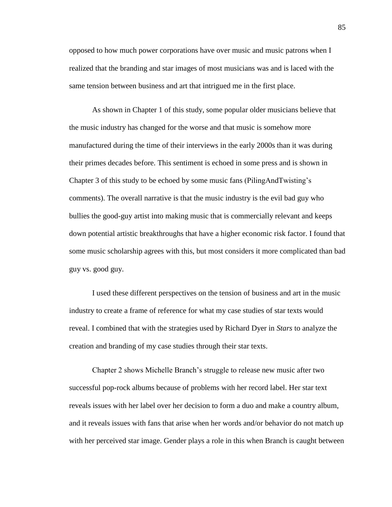opposed to how much power corporations have over music and music patrons when I realized that the branding and star images of most musicians was and is laced with the same tension between business and art that intrigued me in the first place.

As shown in Chapter 1 of this study, some popular older musicians believe that the music industry has changed for the worse and that music is somehow more manufactured during the time of their interviews in the early 2000s than it was during their primes decades before. This sentiment is echoed in some press and is shown in Chapter 3 of this study to be echoed by some music fans (PilingAndTwisting's comments). The overall narrative is that the music industry is the evil bad guy who bullies the good-guy artist into making music that is commercially relevant and keeps down potential artistic breakthroughs that have a higher economic risk factor. I found that some music scholarship agrees with this, but most considers it more complicated than bad guy vs. good guy.

I used these different perspectives on the tension of business and art in the music industry to create a frame of reference for what my case studies of star texts would reveal. I combined that with the strategies used by Richard Dyer in *Stars* to analyze the creation and branding of my case studies through their star texts.

Chapter 2 shows Michelle Branch's struggle to release new music after two successful pop-rock albums because of problems with her record label. Her star text reveals issues with her label over her decision to form a duo and make a country album, and it reveals issues with fans that arise when her words and/or behavior do not match up with her perceived star image. Gender plays a role in this when Branch is caught between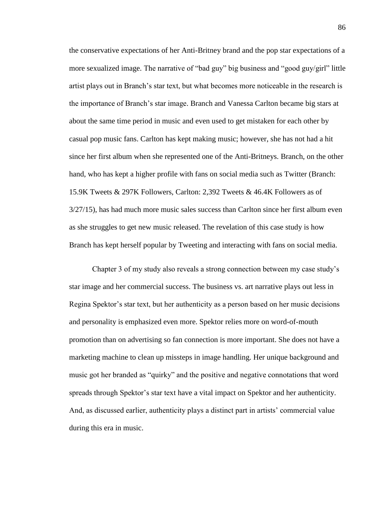the conservative expectations of her Anti-Britney brand and the pop star expectations of a more sexualized image. The narrative of "bad guy" big business and "good guy/girl" little artist plays out in Branch's star text, but what becomes more noticeable in the research is the importance of Branch's star image. Branch and Vanessa Carlton became big stars at about the same time period in music and even used to get mistaken for each other by casual pop music fans. Carlton has kept making music; however, she has not had a hit since her first album when she represented one of the Anti-Britneys. Branch, on the other hand, who has kept a higher profile with fans on social media such as Twitter (Branch: 15.9K Tweets & 297K Followers, Carlton: 2,392 Tweets & 46.4K Followers as of 3/27/15), has had much more music sales success than Carlton since her first album even as she struggles to get new music released. The revelation of this case study is how Branch has kept herself popular by Tweeting and interacting with fans on social media.

Chapter 3 of my study also reveals a strong connection between my case study's star image and her commercial success. The business vs. art narrative plays out less in Regina Spektor's star text, but her authenticity as a person based on her music decisions and personality is emphasized even more. Spektor relies more on word-of-mouth promotion than on advertising so fan connection is more important. She does not have a marketing machine to clean up missteps in image handling. Her unique background and music got her branded as "quirky" and the positive and negative connotations that word spreads through Spektor's star text have a vital impact on Spektor and her authenticity. And, as discussed earlier, authenticity plays a distinct part in artists' commercial value during this era in music.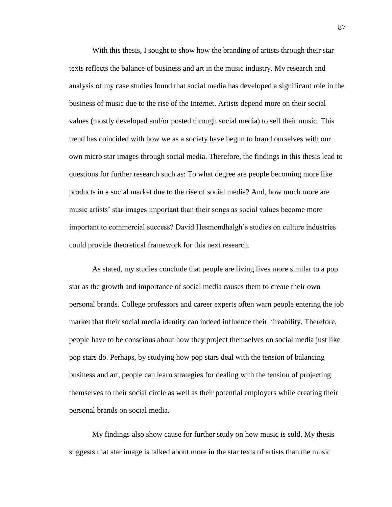With this thesis, I sought to show how the branding of artists through their star texts reflects the balance of business and art in the music industry. My research and analysis of my case studies found that social media has developed a significant role in the business of music due to the rise of the Internet. Artists depend more on their social values (mostly developed and/or posted through social media) to sell their music. This trend has coincided with how we as a society have begun to brand ourselves with our own micro star images through social media. Therefore, the findings in this thesis lead to questions for further research such as: To what degree are people becoming more like products in a social market due to the rise of social media? And, how much more are music artists' star images important than their songs as social values become more important to commercial success? David Hesmondhalgh's studies on culture industries could provide theoretical framework for this next research.

As stated, my studies conclude that people are living lives more similar to a pop star as the growth and importance of social media causes them to create their own personal brands. College professors and career experts often warn people entering the job market that their social media identity can indeed influence their hireability. Therefore, people have to be conscious about how they project themselves on social media just like pop stars do. Perhaps, by studying how pop stars deal with the tension of balancing business and art, people can learn strategies for dealing with the tension of projecting themselves to their social circle as well as their potential employers while creating their personal brands on social media.

My findings also show cause for further study on how music is sold. My thesis suggests that star image is talked about more in the star texts of artists than the music